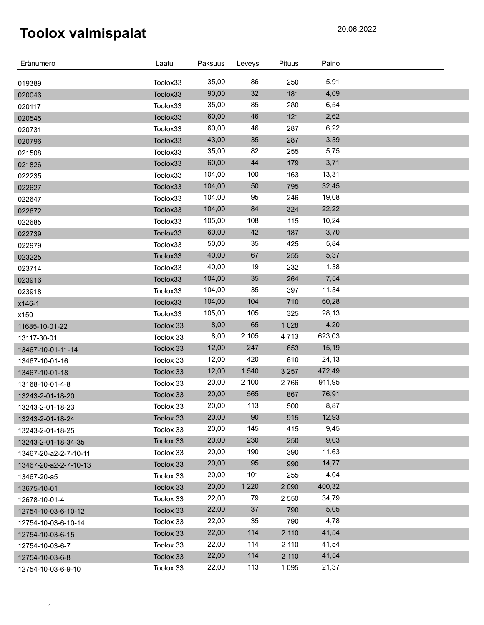| Eränumero             | Laatu     | Paksuus | Leveys  | Pituus  | Paino  |  |
|-----------------------|-----------|---------|---------|---------|--------|--|
| 019389                | Toolox33  | 35,00   | 86      | 250     | 5,91   |  |
| 020046                | Toolox33  | 90,00   | 32      | 181     | 4,09   |  |
| 020117                | Toolox33  | 35,00   | 85      | 280     | 6,54   |  |
| 020545                | Toolox33  | 60,00   | 46      | 121     | 2,62   |  |
| 020731                | Toolox33  | 60,00   | 46      | 287     | 6,22   |  |
| 020796                | Toolox33  | 43,00   | 35      | 287     | 3,39   |  |
| 021508                | Toolox33  | 35,00   | 82      | 255     | 5,75   |  |
| 021826                | Toolox33  | 60,00   | 44      | 179     | 3,71   |  |
| 022235                | Toolox33  | 104,00  | 100     | 163     | 13,31  |  |
| 022627                | Toolox33  | 104,00  | 50      | 795     | 32,45  |  |
| 022647                | Toolox33  | 104,00  | 95      | 246     | 19,08  |  |
| 022672                | Toolox33  | 104,00  | 84      | 324     | 22,22  |  |
| 022685                | Toolox33  | 105,00  | 108     | 115     | 10,24  |  |
| 022739                | Toolox33  | 60,00   | 42      | 187     | 3,70   |  |
| 022979                | Toolox33  | 50,00   | 35      | 425     | 5,84   |  |
| 023225                | Toolox33  | 40,00   | 67      | 255     | 5,37   |  |
| 023714                | Toolox33  | 40,00   | 19      | 232     | 1,38   |  |
| 023916                | Toolox33  | 104,00  | 35      | 264     | 7,54   |  |
| 023918                | Toolox33  | 104,00  | 35      | 397     | 11,34  |  |
| x146-1                | Toolox33  | 104,00  | 104     | 710     | 60,28  |  |
| x150                  | Toolox33  | 105,00  | 105     | 325     | 28,13  |  |
| 11685-10-01-22        | Toolox 33 | 8,00    | 65      | 1 0 28  | 4,20   |  |
| 13117-30-01           | Toolox 33 | 8,00    | 2 1 0 5 | 4713    | 623,03 |  |
| 13467-10-01-11-14     | Toolox 33 | 12,00   | 247     | 653     | 15,19  |  |
| 13467-10-01-16        | Toolox 33 | 12,00   | 420     | 610     | 24,13  |  |
| 13467-10-01-18        | Toolox 33 | 12,00   | 1 5 4 0 | 3 2 5 7 | 472,49 |  |
| 13168-10-01-4-8       | Toolox 33 | 20,00   | 2 100   | 2766    | 911,95 |  |
| 13243-2-01-18-20      | Toolox 33 | 20,00   | 565     | 867     | 76,91  |  |
| 13243-2-01-18-23      | Toolox 33 | 20,00   | 113     | 500     | 8,87   |  |
| 13243-2-01-18-24      | Toolox 33 | 20,00   | 90      | 915     | 12,93  |  |
| 13243-2-01-18-25      | Toolox 33 | 20,00   | 145     | 415     | 9,45   |  |
| 13243-2-01-18-34-35   | Toolox 33 | 20,00   | 230     | 250     | 9,03   |  |
| 13467-20-a2-2-7-10-11 | Toolox 33 | 20,00   | 190     | 390     | 11,63  |  |
| 13467-20-a2-2-7-10-13 | Toolox 33 | 20,00   | 95      | 990     | 14,77  |  |
| 13467-20-a5           | Toolox 33 | 20,00   | 101     | 255     | 4,04   |  |
| 13675-10-01           | Toolox 33 | 20,00   | 1 2 2 0 | 2 0 9 0 | 400,32 |  |
| 12678-10-01-4         | Toolox 33 | 22,00   | 79      | 2 5 5 0 | 34,79  |  |
| 12754-10-03-6-10-12   | Toolox 33 | 22,00   | 37      | 790     | 5,05   |  |
| 12754-10-03-6-10-14   | Toolox 33 | 22,00   | 35      | 790     | 4,78   |  |
| 12754-10-03-6-15      | Toolox 33 | 22,00   | 114     | 2 110   | 41,54  |  |
| 12754-10-03-6-7       | Toolox 33 | 22,00   | 114     | 2 110   | 41,54  |  |
| 12754-10-03-6-8       | Toolox 33 | 22,00   | 114     | 2 110   | 41,54  |  |
| 12754-10-03-6-9-10    | Toolox 33 | 22,00   | 113     | 1 0 9 5 | 21,37  |  |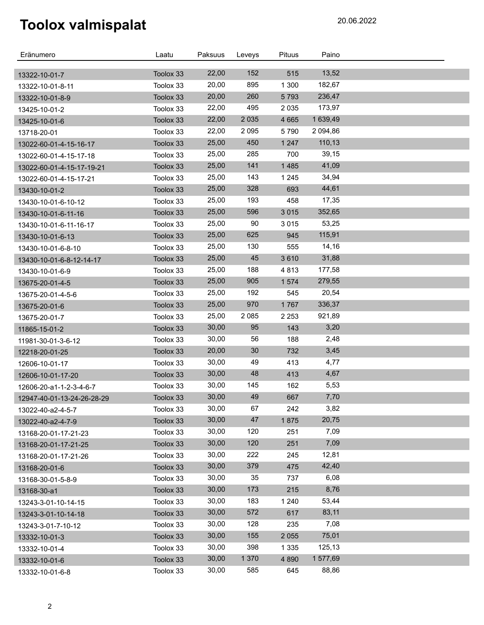| Eränumero                         | Laatu     | Paksuus | Leveys  | <b>Pituus</b> | Paino    |  |
|-----------------------------------|-----------|---------|---------|---------------|----------|--|
|                                   | Toolox 33 | 22,00   | 152     | 515           | 13,52    |  |
| 13322-10-01-7<br>13322-10-01-8-11 | Toolox 33 | 20,00   | 895     | 1 300         | 182,67   |  |
| 13322-10-01-8-9                   | Toolox 33 | 20,00   | 260     | 5793          | 236,47   |  |
| 13425-10-01-2                     | Toolox 33 | 22,00   | 495     | 2 0 3 5       | 173,97   |  |
| 13425-10-01-6                     | Toolox 33 | 22,00   | 2 0 3 5 | 4 6 6 5       | 1 639,49 |  |
| 13718-20-01                       | Toolox 33 | 22,00   | 2 0 9 5 | 5790          | 2 094,86 |  |
| 13022-60-01-4-15-16-17            | Toolox 33 | 25,00   | 450     | 1 2 4 7       | 110,13   |  |
| 13022-60-01-4-15-17-18            | Toolox 33 | 25,00   | 285     | 700           | 39,15    |  |
| 13022-60-01-4-15-17-19-21         | Toolox 33 | 25,00   | 141     | 1485          | 41,09    |  |
| 13022-60-01-4-15-17-21            | Toolox 33 | 25,00   | 143     | 1 2 4 5       | 34,94    |  |
| 13430-10-01-2                     | Toolox 33 | 25,00   | 328     | 693           | 44,61    |  |
| 13430-10-01-6-10-12               | Toolox 33 | 25,00   | 193     | 458           | 17,35    |  |
| 13430-10-01-6-11-16               | Toolox 33 | 25,00   | 596     | 3 0 1 5       | 352,65   |  |
| 13430-10-01-6-11-16-17            | Toolox 33 | 25,00   | 90      | 3015          | 53,25    |  |
| 13430-10-01-6-13                  | Toolox 33 | 25,00   | 625     | 945           | 115,91   |  |
| 13430-10-01-6-8-10                | Toolox 33 | 25,00   | 130     | 555           | 14,16    |  |
| 13430-10-01-6-8-12-14-17          | Toolox 33 | 25,00   | 45      | 3610          | 31,88    |  |
| 13430-10-01-6-9                   | Toolox 33 | 25,00   | 188     | 4813          | 177,58   |  |
| 13675-20-01-4-5                   | Toolox 33 | 25,00   | 905     | 1574          | 279,55   |  |
| 13675-20-01-4-5-6                 | Toolox 33 | 25,00   | 192     | 545           | 20,54    |  |
| 13675-20-01-6                     | Toolox 33 | 25,00   | 970     | 1767          | 336,37   |  |
| 13675-20-01-7                     | Toolox 33 | 25,00   | 2 0 8 5 | 2 2 5 3       | 921,89   |  |
| 11865-15-01-2                     | Toolox 33 | 30,00   | 95      | 143           | 3,20     |  |
| 11981-30-01-3-6-12                | Toolox 33 | 30,00   | 56      | 188           | 2,48     |  |
| 12218-20-01-25                    | Toolox 33 | 20,00   | 30      | 732           | 3,45     |  |
| 12606-10-01-17                    | Toolox 33 | 30,00   | 49      | 413           | 4,77     |  |
| 12606-10-01-17-20                 | Toolox 33 | 30,00   | 48      | 413           | 4,67     |  |
| 12606-20-a1-1-2-3-4-6-7           | Toolox 33 | 30,00   | 145     | 162           | 5,53     |  |
| 12947-40-01-13-24-26-28-29        | Toolox 33 | 30,00   | 49      | 667           | 7,70     |  |
| 13022-40-a2-4-5-7                 | Toolox 33 | 30,00   | 67      | 242           | 3,82     |  |
| 13022-40-a2-4-7-9                 | Toolox 33 | 30,00   | 47      | 1875          | 20,75    |  |
| 13168-20-01-17-21-23              | Toolox 33 | 30,00   | 120     | 251           | 7,09     |  |
| 13168-20-01-17-21-25              | Toolox 33 | 30,00   | 120     | 251           | 7,09     |  |
| 13168-20-01-17-21-26              | Toolox 33 | 30,00   | 222     | 245           | 12,81    |  |
| 13168-20-01-6                     | Toolox 33 | 30,00   | 379     | 475           | 42,40    |  |
| 13168-30-01-5-8-9                 | Toolox 33 | 30,00   | 35      | 737           | 6,08     |  |
| 13168-30-a1                       | Toolox 33 | 30,00   | 173     | 215           | 8,76     |  |
| 13243-3-01-10-14-15               | Toolox 33 | 30,00   | 183     | 1 2 4 0       | 53,44    |  |
| 13243-3-01-10-14-18               | Toolox 33 | 30,00   | 572     | 617           | 83,11    |  |
| 13243-3-01-7-10-12                | Toolox 33 | 30,00   | 128     | 235           | 7,08     |  |
| 13332-10-01-3                     | Toolox 33 | 30,00   | 155     | 2 0 5 5       | 75,01    |  |
| 13332-10-01-4                     | Toolox 33 | 30,00   | 398     | 1 3 3 5       | 125,13   |  |
| 13332-10-01-6                     | Toolox 33 | 30,00   | 1 3 7 0 | 4 8 9 0       | 1577,69  |  |
| 13332-10-01-6-8                   | Toolox 33 | 30,00   | 585     | 645           | 88,86    |  |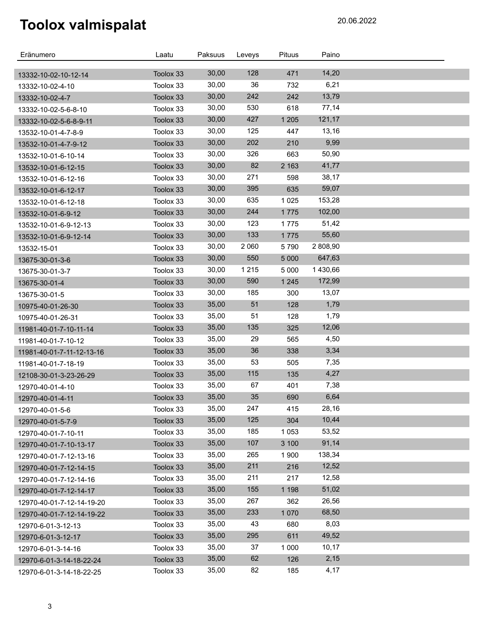| Eränumero                                | Laatu     | Paksuus | Leveys  | <b>Pituus</b> | Paino    |  |
|------------------------------------------|-----------|---------|---------|---------------|----------|--|
|                                          | Toolox 33 | 30,00   | 128     | 471           | 14,20    |  |
| 13332-10-02-10-12-14<br>13332-10-02-4-10 | Toolox 33 | 30,00   | 36      | 732           | 6,21     |  |
| 13332-10-02-4-7                          | Toolox 33 | 30,00   | 242     | 242           | 13,79    |  |
| 13332-10-02-5-6-8-10                     | Toolox 33 | 30,00   | 530     | 618           | 77,14    |  |
| 13332-10-02-5-6-8-9-11                   | Toolox 33 | 30,00   | 427     | 1 2 0 5       | 121,17   |  |
| 13532-10-01-4-7-8-9                      | Toolox 33 | 30,00   | 125     | 447           | 13,16    |  |
| 13532-10-01-4-7-9-12                     | Toolox 33 | 30,00   | 202     | 210           | 9,99     |  |
| 13532-10-01-6-10-14                      | Toolox 33 | 30,00   | 326     | 663           | 50,90    |  |
| 13532-10-01-6-12-15                      | Toolox 33 | 30,00   | 82      | 2 1 6 3       | 41,77    |  |
| 13532-10-01-6-12-16                      | Toolox 33 | 30,00   | 271     | 598           | 38,17    |  |
| 13532-10-01-6-12-17                      | Toolox 33 | 30,00   | 395     | 635           | 59,07    |  |
| 13532-10-01-6-12-18                      | Toolox 33 | 30,00   | 635     | 1 0 2 5       | 153,28   |  |
| 13532-10-01-6-9-12                       | Toolox 33 | 30,00   | 244     | 1775          | 102,00   |  |
| 13532-10-01-6-9-12-13                    | Toolox 33 | 30,00   | 123     | 1775          | 51,42    |  |
| 13532-10-01-6-9-12-14                    | Toolox 33 | 30,00   | 133     | 1775          | 55,60    |  |
| 13532-15-01                              | Toolox 33 | 30,00   | 2 0 6 0 | 5790          | 2 808,90 |  |
| 13675-30-01-3-6                          | Toolox 33 | 30,00   | 550     | 5 0 0 0       | 647,63   |  |
| 13675-30-01-3-7                          | Toolox 33 | 30,00   | 1 2 1 5 | 5 0 0 0       | 1430,66  |  |
| 13675-30-01-4                            | Toolox 33 | 30,00   | 590     | 1 2 4 5       | 172,99   |  |
| 13675-30-01-5                            | Toolox 33 | 30,00   | 185     | 300           | 13,07    |  |
| 10975-40-01-26-30                        | Toolox 33 | 35,00   | 51      | 128           | 1,79     |  |
| 10975-40-01-26-31                        | Toolox 33 | 35,00   | 51      | 128           | 1,79     |  |
| 11981-40-01-7-10-11-14                   | Toolox 33 | 35,00   | 135     | 325           | 12,06    |  |
| 11981-40-01-7-10-12                      | Toolox 33 | 35,00   | 29      | 565           | 4,50     |  |
| 11981-40-01-7-11-12-13-16                | Toolox 33 | 35,00   | 36      | 338           | 3,34     |  |
| 11981-40-01-7-18-19                      | Toolox 33 | 35,00   | 53      | 505           | 7,35     |  |
| 12108-30-01-3-23-26-29                   | Toolox 33 | 35,00   | 115     | 135           | 4,27     |  |
| 12970-40-01-4-10                         | Toolox 33 | 35,00   | 67      | 401           | 7,38     |  |
| 12970-40-01-4-11                         | Toolox 33 | 35,00   | 35      | 690           | 6,64     |  |
| 12970-40-01-5-6                          | Toolox 33 | 35,00   | 247     | 415           | 28,16    |  |
| 12970-40-01-5-7-9                        | Toolox 33 | 35,00   | 125     | 304           | 10,44    |  |
| 12970-40-01-7-10-11                      | Toolox 33 | 35,00   | 185     | 1 0 5 3       | 53,52    |  |
| 12970-40-01-7-10-13-17                   | Toolox 33 | 35,00   | 107     | 3 100         | 91,14    |  |
| 12970-40-01-7-12-13-16                   | Toolox 33 | 35,00   | 265     | 1 900         | 138,34   |  |
| 12970-40-01-7-12-14-15                   | Toolox 33 | 35,00   | 211     | 216           | 12,52    |  |
| 12970-40-01-7-12-14-16                   | Toolox 33 | 35,00   | 211     | 217           | 12,58    |  |
| 12970-40-01-7-12-14-17                   | Toolox 33 | 35,00   | 155     | 1 1 9 8       | 51,02    |  |
| 12970-40-01-7-12-14-19-20                | Toolox 33 | 35,00   | 267     | 362           | 26,56    |  |
| 12970-40-01-7-12-14-19-22                | Toolox 33 | 35,00   | 233     | 1 0 7 0       | 68,50    |  |
| 12970-6-01-3-12-13                       | Toolox 33 | 35,00   | 43      | 680           | 8,03     |  |
| 12970-6-01-3-12-17                       | Toolox 33 | 35,00   | 295     | 611           | 49,52    |  |
| 12970-6-01-3-14-16                       | Toolox 33 | 35,00   | 37      | 1 0 0 0       | 10,17    |  |
| 12970-6-01-3-14-18-22-24                 | Toolox 33 | 35,00   | 62      | 126           | 2,15     |  |
| 12970-6-01-3-14-18-22-25                 | Toolox 33 | 35,00   | 82      | 185           | 4,17     |  |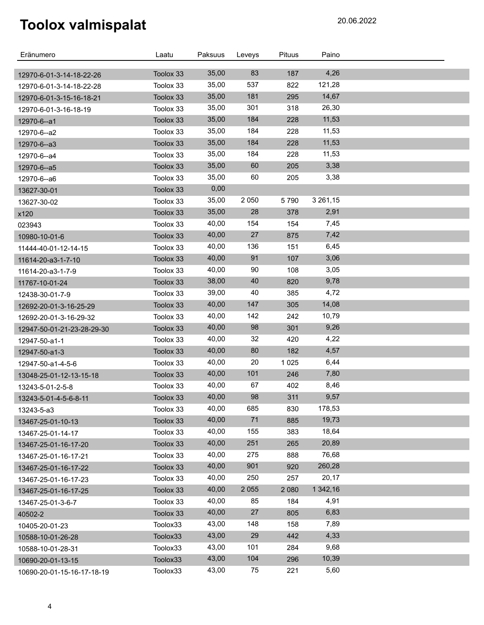| Eränumero                                        | Laatu                  | Paksuus | Leveys  | Pituus  | Paino         |  |
|--------------------------------------------------|------------------------|---------|---------|---------|---------------|--|
|                                                  |                        | 35,00   | 83      | 187     | 4,26          |  |
| 12970-6-01-3-14-18-22-26                         | Toolox 33<br>Toolox 33 | 35,00   | 537     | 822     | 121,28        |  |
| 12970-6-01-3-14-18-22-28                         | Toolox 33              | 35,00   | 181     | 295     | 14,67         |  |
| 12970-6-01-3-15-16-18-21                         |                        | 35,00   | 301     | 318     | 26,30         |  |
| 12970-6-01-3-16-18-19                            | Toolox 33<br>Toolox 33 | 35,00   | 184     | 228     | 11,53         |  |
| 12970-6--a1                                      | Toolox 33              | 35,00   | 184     | 228     | 11,53         |  |
| 12970-6--a2                                      | Toolox 33              | 35,00   | 184     | 228     | 11,53         |  |
| 12970-6--a3                                      | Toolox 33              | 35,00   | 184     | 228     | 11,53         |  |
| 12970-6--a4                                      | Toolox 33              | 35,00   | 60      | 205     | 3,38          |  |
| 12970-6--a5                                      | Toolox 33              | 35,00   | 60      | 205     | 3,38          |  |
| 12970-6--a6                                      | Toolox 33              | 0,00    |         |         |               |  |
| 13627-30-01                                      | Toolox 33              | 35,00   | 2 0 5 0 | 5790    | 3 2 6 1 , 1 5 |  |
| 13627-30-02                                      | Toolox 33              | 35,00   | 28      | 378     | 2,91          |  |
| x120                                             | Toolox 33              | 40,00   | 154     | 154     | 7,45          |  |
| 023943                                           | Toolox 33              | 40,00   | 27      | 875     | 7,42          |  |
| 10980-10-01-6                                    | Toolox 33              | 40,00   | 136     | 151     | 6,45          |  |
| 11444-40-01-12-14-15                             | Toolox 33              | 40,00   | 91      | 107     | 3,06          |  |
| 11614-20-a3-1-7-10                               | Toolox 33              | 40,00   | 90      | 108     | 3,05          |  |
| 11614-20-a3-1-7-9                                | Toolox 33              | 38,00   | 40      | 820     | 9,78          |  |
| 11767-10-01-24                                   | Toolox 33              | 39,00   | 40      | 385     | 4,72          |  |
| 12438-30-01-7-9                                  | Toolox 33              | 40,00   | 147     | 305     | 14,08         |  |
| 12692-20-01-3-16-25-29<br>12692-20-01-3-16-29-32 | Toolox 33              | 40,00   | 142     | 242     | 10,79         |  |
|                                                  | Toolox 33              | 40,00   | 98      | 301     | 9,26          |  |
| 12947-50-01-21-23-28-29-30                       | Toolox 33              | 40,00   | 32      | 420     | 4,22          |  |
| 12947-50-a1-1                                    | Toolox 33              | 40,00   | 80      | 182     | 4,57          |  |
| 12947-50-a1-3                                    | Toolox 33              | 40,00   | 20      | 1 0 2 5 | 6,44          |  |
| 12947-50-a1-4-5-6                                | Toolox 33              | 40,00   | 101     | 246     | 7,80          |  |
| 13048-25-01-12-13-15-18                          | Toolox 33              | 40,00   | 67      | 402     | 8,46          |  |
| 13243-5-01-2-5-8<br>13243-5-01-4-5-6-8-11        | Toolox 33              | 40,00   | 98      | 311     | 9,57          |  |
|                                                  | Toolox 33              | 40,00   | 685     | 830     | 178,53        |  |
| 13243-5-a3<br>13467-25-01-10-13                  | Toolox 33              | 40,00   | $71$    | 885     | 19,73         |  |
| 13467-25-01-14-17                                | Toolox 33              | 40,00   | 155     | 383     | 18,64         |  |
| 13467-25-01-16-17-20                             | Toolox 33              | 40,00   | 251     | 265     | 20,89         |  |
| 13467-25-01-16-17-21                             | Toolox 33              | 40,00   | 275     | 888     | 76,68         |  |
| 13467-25-01-16-17-22                             | Toolox 33              | 40,00   | 901     | 920     | 260,28        |  |
| 13467-25-01-16-17-23                             | Toolox 33              | 40,00   | 250     | 257     | 20,17         |  |
| 13467-25-01-16-17-25                             | Toolox 33              | 40,00   | 2 0 5 5 | 2 0 8 0 | 1 342,16      |  |
| 13467-25-01-3-6-7                                | Toolox 33              | 40,00   | 85      | 184     | 4,91          |  |
| 40502-2                                          | Toolox 33              | 40,00   | 27      | 805     | 6,83          |  |
| 10405-20-01-23                                   | Toolox33               | 43,00   | 148     | 158     | 7,89          |  |
| 10588-10-01-26-28                                | Toolox33               | 43,00   | 29      | 442     | 4,33          |  |
| 10588-10-01-28-31                                | Toolox33               | 43,00   | 101     | 284     | 9,68          |  |
| 10690-20-01-13-15                                | Toolox33               | 43,00   | 104     | 296     | 10,39         |  |
| 10690-20-01-15-16-17-18-19                       | Toolox33               | 43,00   | 75      | 221     | 5,60          |  |
|                                                  |                        |         |         |         |               |  |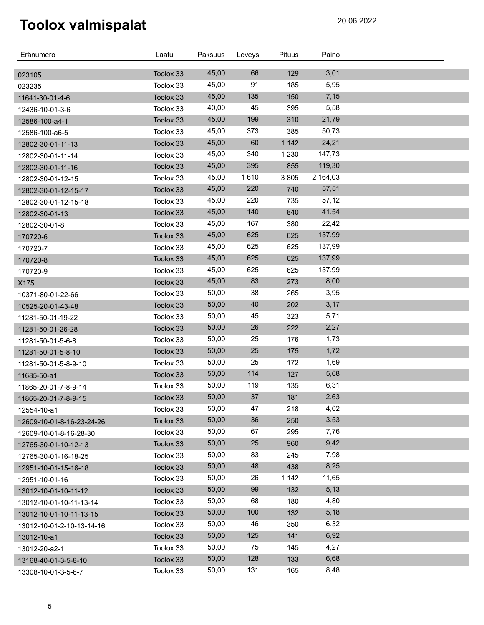| Eränumero                 | Laatu     | Paksuus | Leveys | Pituus  | Paino    |  |
|---------------------------|-----------|---------|--------|---------|----------|--|
|                           | Toolox 33 | 45,00   | 66     | 129     | 3,01     |  |
| 023105<br>023235          | Toolox 33 | 45,00   | 91     | 185     | 5,95     |  |
| 11641-30-01-4-6           | Toolox 33 | 45,00   | 135    | 150     | 7,15     |  |
| 12436-10-01-3-6           | Toolox 33 | 40,00   | 45     | 395     | 5,58     |  |
| 12586-100-a4-1            | Toolox 33 | 45,00   | 199    | 310     | 21,79    |  |
| 12586-100-a6-5            | Toolox 33 | 45,00   | 373    | 385     | 50,73    |  |
| 12802-30-01-11-13         | Toolox 33 | 45,00   | 60     | 1 1 4 2 | 24,21    |  |
| 12802-30-01-11-14         | Toolox 33 | 45,00   | 340    | 1 2 3 0 | 147,73   |  |
| 12802-30-01-11-16         | Toolox 33 | 45,00   | 395    | 855     | 119,30   |  |
| 12802-30-01-12-15         | Toolox 33 | 45,00   | 1610   | 3805    | 2 164,03 |  |
| 12802-30-01-12-15-17      | Toolox 33 | 45,00   | 220    | 740     | 57,51    |  |
| 12802-30-01-12-15-18      | Toolox 33 | 45,00   | 220    | 735     | 57,12    |  |
| 12802-30-01-13            | Toolox 33 | 45,00   | 140    | 840     | 41,54    |  |
| 12802-30-01-8             | Toolox 33 | 45,00   | 167    | 380     | 22,42    |  |
| 170720-6                  | Toolox 33 | 45,00   | 625    | 625     | 137,99   |  |
| 170720-7                  | Toolox 33 | 45,00   | 625    | 625     | 137,99   |  |
| 170720-8                  | Toolox 33 | 45,00   | 625    | 625     | 137,99   |  |
| 170720-9                  | Toolox 33 | 45,00   | 625    | 625     | 137,99   |  |
| X175                      | Toolox 33 | 45,00   | 83     | 273     | 8,00     |  |
| 10371-80-01-22-66         | Toolox 33 | 50,00   | 38     | 265     | 3,95     |  |
| 10525-20-01-43-48         | Toolox 33 | 50,00   | 40     | 202     | 3,17     |  |
| 11281-50-01-19-22         | Toolox 33 | 50,00   | 45     | 323     | 5,71     |  |
| 11281-50-01-26-28         | Toolox 33 | 50,00   | 26     | 222     | 2,27     |  |
| 11281-50-01-5-6-8         | Toolox 33 | 50,00   | 25     | 176     | 1,73     |  |
| 11281-50-01-5-8-10        | Toolox 33 | 50,00   | 25     | 175     | 1,72     |  |
| 11281-50-01-5-8-9-10      | Toolox 33 | 50,00   | 25     | 172     | 1,69     |  |
| 11685-50-a1               | Toolox 33 | 50,00   | 114    | 127     | 5,68     |  |
| 11865-20-01-7-8-9-14      | Toolox 33 | 50,00   | 119    | 135     | 6,31     |  |
| 11865-20-01-7-8-9-15      | Toolox 33 | 50,00   | 37     | 181     | 2,63     |  |
| 12554-10-a1               | Toolox 33 | 50,00   | 47     | 218     | 4,02     |  |
| 12609-10-01-8-16-23-24-26 | Toolox 33 | 50,00   | 36     | 250     | 3,53     |  |
| 12609-10-01-8-16-28-30    | Toolox 33 | 50,00   | 67     | 295     | 7,76     |  |
| 12765-30-01-10-12-13      | Toolox 33 | 50,00   | 25     | 960     | 9,42     |  |
| 12765-30-01-16-18-25      | Toolox 33 | 50,00   | 83     | 245     | 7,98     |  |
| 12951-10-01-15-16-18      | Toolox 33 | 50,00   | 48     | 438     | 8,25     |  |
| 12951-10-01-16            | Toolox 33 | 50,00   | 26     | 1 142   | 11,65    |  |
| 13012-10-01-10-11-12      | Toolox 33 | 50,00   | 99     | 132     | 5,13     |  |
| 13012-10-01-10-11-13-14   | Toolox 33 | 50,00   | 68     | 180     | 4,80     |  |
| 13012-10-01-10-11-13-15   | Toolox 33 | 50,00   | 100    | 132     | 5,18     |  |
| 13012-10-01-2-10-13-14-16 | Toolox 33 | 50,00   | 46     | 350     | 6,32     |  |
| 13012-10-a1               | Toolox 33 | 50,00   | 125    | 141     | 6,92     |  |
| 13012-20-a2-1             | Toolox 33 | 50,00   | 75     | 145     | 4,27     |  |
| 13168-40-01-3-5-8-10      | Toolox 33 | 50,00   | 128    | 133     | 6,68     |  |
| 13308-10-01-3-5-6-7       | Toolox 33 | 50,00   | 131    | 165     | 8,48     |  |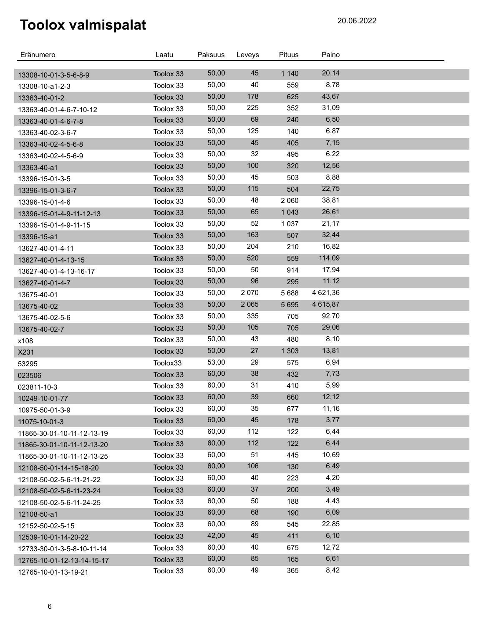| Eränumero                  | Laatu     | Paksuus | Leveys  | Pituus  | Paino    |  |
|----------------------------|-----------|---------|---------|---------|----------|--|
| 13308-10-01-3-5-6-8-9      | Toolox 33 | 50,00   | 45      | 1 1 4 0 | 20,14    |  |
| 13308-10-a1-2-3            | Toolox 33 | 50,00   | 40      | 559     | 8,78     |  |
| 13363-40-01-2              | Toolox 33 | 50,00   | 178     | 625     | 43,67    |  |
| 13363-40-01-4-6-7-10-12    | Toolox 33 | 50,00   | 225     | 352     | 31,09    |  |
| 13363-40-01-4-6-7-8        | Toolox 33 | 50,00   | 69      | 240     | 6,50     |  |
| 13363-40-02-3-6-7          | Toolox 33 | 50,00   | 125     | 140     | 6,87     |  |
| 13363-40-02-4-5-6-8        | Toolox 33 | 50,00   | 45      | 405     | 7,15     |  |
| 13363-40-02-4-5-6-9        | Toolox 33 | 50,00   | 32      | 495     | 6,22     |  |
| 13363-40-a1                | Toolox 33 | 50,00   | 100     | 320     | 12,56    |  |
| 13396-15-01-3-5            | Toolox 33 | 50,00   | 45      | 503     | 8,88     |  |
| 13396-15-01-3-6-7          | Toolox 33 | 50,00   | 115     | 504     | 22,75    |  |
| 13396-15-01-4-6            | Toolox 33 | 50,00   | 48      | 2 0 6 0 | 38,81    |  |
| 13396-15-01-4-9-11-12-13   | Toolox 33 | 50,00   | 65      | 1 0 4 3 | 26,61    |  |
| 13396-15-01-4-9-11-15      | Toolox 33 | 50,00   | 52      | 1 0 3 7 | 21,17    |  |
| 13396-15-a1                | Toolox 33 | 50,00   | 163     | 507     | 32,44    |  |
| 13627-40-01-4-11           | Toolox 33 | 50,00   | 204     | 210     | 16,82    |  |
| 13627-40-01-4-13-15        | Toolox 33 | 50,00   | 520     | 559     | 114,09   |  |
| 13627-40-01-4-13-16-17     | Toolox 33 | 50,00   | 50      | 914     | 17,94    |  |
| 13627-40-01-4-7            | Toolox 33 | 50,00   | 96      | 295     | 11,12    |  |
| 13675-40-01                | Toolox 33 | 50,00   | 2070    | 5688    | 4 621,36 |  |
| 13675-40-02                | Toolox 33 | 50,00   | 2 0 6 5 | 5 6 9 5 | 4 615,87 |  |
| 13675-40-02-5-6            | Toolox 33 | 50,00   | 335     | 705     | 92,70    |  |
| 13675-40-02-7              | Toolox 33 | 50,00   | 105     | 705     | 29,06    |  |
| x108                       | Toolox 33 | 50,00   | 43      | 480     | 8,10     |  |
| X231                       | Toolox 33 | 50,00   | 27      | 1 3 0 3 | 13,81    |  |
| 53295                      | Toolox33  | 53,00   | 29      | 575     | 6,94     |  |
| 023506                     | Toolox 33 | 60,00   | 38      | 432     | 7,73     |  |
| 023811-10-3                | Toolox 33 | 60,00   | 31      | 410     | 5,99     |  |
| 10249-10-01-77             | Toolox 33 | 60,00   | 39      | 660     | 12,12    |  |
| 10975-50-01-3-9            | Toolox 33 | 60,00   | 35      | 677     | 11,16    |  |
| 11075-10-01-3              | Toolox 33 | 60,00   | 45      | 178     | 3,77     |  |
| 11865-30-01-10-11-12-13-19 | Toolox 33 | 60,00   | 112     | 122     | 6,44     |  |
| 11865-30-01-10-11-12-13-20 | Toolox 33 | 60,00   | 112     | 122     | 6,44     |  |
| 11865-30-01-10-11-12-13-25 | Toolox 33 | 60,00   | 51      | 445     | 10,69    |  |
| 12108-50-01-14-15-18-20    | Toolox 33 | 60,00   | 106     | 130     | 6,49     |  |
| 12108-50-02-5-6-11-21-22   | Toolox 33 | 60,00   | 40      | 223     | 4,20     |  |
| 12108-50-02-5-6-11-23-24   | Toolox 33 | 60,00   | 37      | 200     | 3,49     |  |
| 12108-50-02-5-6-11-24-25   | Toolox 33 | 60,00   | 50      | 188     | 4,43     |  |
| 12108-50-a1                | Toolox 33 | 60,00   | 68      | 190     | 6,09     |  |
| 12152-50-02-5-15           | Toolox 33 | 60,00   | 89      | 545     | 22,85    |  |
| 12539-10-01-14-20-22       | Toolox 33 | 42,00   | 45      | 411     | 6, 10    |  |
| 12733-30-01-3-5-8-10-11-14 | Toolox 33 | 60,00   | 40      | 675     | 12,72    |  |
| 12765-10-01-12-13-14-15-17 | Toolox 33 | 60,00   | 85      | 165     | 6,61     |  |
| 12765-10-01-13-19-21       | Toolox 33 | 60,00   | 49      | 365     | 8,42     |  |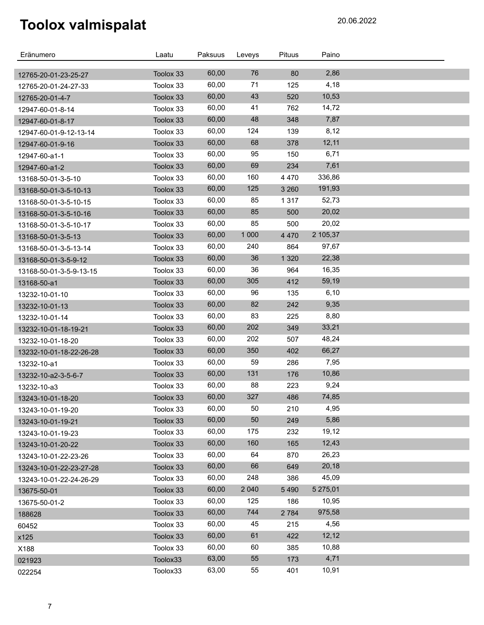| 76<br>2,86<br>60,00<br>80<br>Toolox 33<br>12765-20-01-23-25-27<br>4,18<br>60,00<br>71<br>125<br>Toolox 33<br>12765-20-01-24-27-33<br>43<br>60,00<br>10,53<br>520<br>Toolox 33<br>12765-20-01-4-7<br>41<br>60,00<br>14,72<br>762<br>Toolox 33<br>12947-60-01-8-14<br>60,00<br>48<br>348<br>7,87<br>Toolox 33<br>12947-60-01-8-17<br>60,00<br>124<br>8,12<br>139<br>Toolox 33<br>12947-60-01-9-12-13-14<br>60,00<br>68<br>12,11<br>Toolox 33<br>378<br>12947-60-01-9-16<br>95<br>60,00<br>6,71<br>Toolox 33<br>150<br>12947-60-a1-1<br>60,00<br>69<br>7,61<br>234<br>Toolox 33<br>12947-60-a1-2<br>160<br>60,00<br>336,86<br>4 4 7 0<br>Toolox 33<br>13168-50-01-3-5-10<br>60,00<br>125<br>191,93<br>3 2 6 0<br>Toolox 33<br>13168-50-01-3-5-10-13<br>85<br>60,00<br>52,73<br>1 3 1 7<br>Toolox 33<br>13168-50-01-3-5-10-15<br>60,00<br>85<br>20,02<br>500<br>Toolox 33<br>13168-50-01-3-5-10-16<br>60,00<br>85<br>20,02<br>500<br>Toolox 33<br>13168-50-01-3-5-10-17<br>60,00<br>1 0 0 0<br>2 105,37<br>4 4 7 0<br>Toolox 33<br>13168-50-01-3-5-13<br>60,00<br>240<br>864<br>97,67<br>Toolox 33<br>13168-50-01-3-5-13-14<br>36<br>60,00<br>1 3 2 0<br>22,38<br>Toolox 33<br>13168-50-01-3-5-9-12<br>36<br>60,00<br>16,35<br>964<br>Toolox 33<br>13168-50-01-3-5-9-13-15<br>60,00<br>305<br>59,19<br>412<br>Toolox 33<br>13168-50-a1<br>60,00<br>96<br>6, 10<br>135<br>Toolox 33<br>13232-10-01-10<br>60,00<br>82<br>9,35<br>242<br>Toolox 33<br>13232-10-01-13<br>60,00<br>83<br>8,80<br>225<br>Toolox 33<br>13232-10-01-14<br>60,00<br>202<br>33,21<br>349<br>Toolox 33<br>13232-10-01-18-19-21<br>202<br>60,00<br>48,24<br>507<br>Toolox 33<br>13232-10-01-18-20<br>60,00<br>350<br>66,27<br>402<br>Toolox 33<br>13232-10-01-18-22-26-28<br>60,00<br>59<br>7,95<br>Toolox 33<br>286<br>13232-10-a1<br>131<br>60,00<br>10,86<br>176<br>Toolox 33<br>13232-10-a2-3-5-6-7<br>60,00<br>88<br>9,24<br>223<br>Toolox 33<br>13232-10-a3<br>60,00<br>327<br>74,85<br>486<br>Toolox 33<br>13243-10-01-18-20<br>60,00<br>50<br>4,95<br>210<br>Toolox 33<br>13243-10-01-19-20<br>60,00<br>50<br>5,86<br>249<br>Toolox 33<br>13243-10-01-19-21<br>60,00<br>175<br>19,12<br>232<br>Toolox 33<br>13243-10-01-19-23<br>60,00<br>160<br>165<br>12,43<br>Toolox 33<br>13243-10-01-20-22<br>60,00<br>26,23<br>64<br>870<br>Toolox 33<br>13243-10-01-22-23-26<br>60,00<br>66<br>20,18<br>649<br>Toolox 33<br>13243-10-01-22-23-27-28<br>60,00<br>45,09<br>248<br>Toolox 33<br>386<br>13243-10-01-22-24-26-29<br>60,00<br>2 0 4 0<br>5 275,01<br>5490<br>Toolox 33<br>13675-50-01<br>60,00<br>125<br>10,95<br>186<br>Toolox 33<br>13675-50-01-2<br>60,00<br>744<br>975,58<br>2 7 8 4<br>Toolox 33<br>188628<br>60,00<br>4,56<br>45<br>Toolox 33<br>215<br>60452<br>60,00<br>61<br>12,12<br>422<br>Toolox 33<br>x125<br>60,00<br>60<br>10,88<br>385<br>Toolox 33<br>X188<br>63,00<br>55<br>4,71<br>173<br>Toolox33<br>021923 | Eränumero | Laatu    | Paksuus | Leveys | <b>Pituus</b> | Paino |  |
|----------------------------------------------------------------------------------------------------------------------------------------------------------------------------------------------------------------------------------------------------------------------------------------------------------------------------------------------------------------------------------------------------------------------------------------------------------------------------------------------------------------------------------------------------------------------------------------------------------------------------------------------------------------------------------------------------------------------------------------------------------------------------------------------------------------------------------------------------------------------------------------------------------------------------------------------------------------------------------------------------------------------------------------------------------------------------------------------------------------------------------------------------------------------------------------------------------------------------------------------------------------------------------------------------------------------------------------------------------------------------------------------------------------------------------------------------------------------------------------------------------------------------------------------------------------------------------------------------------------------------------------------------------------------------------------------------------------------------------------------------------------------------------------------------------------------------------------------------------------------------------------------------------------------------------------------------------------------------------------------------------------------------------------------------------------------------------------------------------------------------------------------------------------------------------------------------------------------------------------------------------------------------------------------------------------------------------------------------------------------------------------------------------------------------------------------------------------------------------------------------------------------------------------------------------------------------------------------------------------------------------------------------------------------------------------------------------------------------------------------------------------------------------------------------------------------------------------------------------------------------------------------------------|-----------|----------|---------|--------|---------------|-------|--|
|                                                                                                                                                                                                                                                                                                                                                                                                                                                                                                                                                                                                                                                                                                                                                                                                                                                                                                                                                                                                                                                                                                                                                                                                                                                                                                                                                                                                                                                                                                                                                                                                                                                                                                                                                                                                                                                                                                                                                                                                                                                                                                                                                                                                                                                                                                                                                                                                                                                                                                                                                                                                                                                                                                                                                                                                                                                                                                          |           |          |         |        |               |       |  |
|                                                                                                                                                                                                                                                                                                                                                                                                                                                                                                                                                                                                                                                                                                                                                                                                                                                                                                                                                                                                                                                                                                                                                                                                                                                                                                                                                                                                                                                                                                                                                                                                                                                                                                                                                                                                                                                                                                                                                                                                                                                                                                                                                                                                                                                                                                                                                                                                                                                                                                                                                                                                                                                                                                                                                                                                                                                                                                          |           |          |         |        |               |       |  |
|                                                                                                                                                                                                                                                                                                                                                                                                                                                                                                                                                                                                                                                                                                                                                                                                                                                                                                                                                                                                                                                                                                                                                                                                                                                                                                                                                                                                                                                                                                                                                                                                                                                                                                                                                                                                                                                                                                                                                                                                                                                                                                                                                                                                                                                                                                                                                                                                                                                                                                                                                                                                                                                                                                                                                                                                                                                                                                          |           |          |         |        |               |       |  |
|                                                                                                                                                                                                                                                                                                                                                                                                                                                                                                                                                                                                                                                                                                                                                                                                                                                                                                                                                                                                                                                                                                                                                                                                                                                                                                                                                                                                                                                                                                                                                                                                                                                                                                                                                                                                                                                                                                                                                                                                                                                                                                                                                                                                                                                                                                                                                                                                                                                                                                                                                                                                                                                                                                                                                                                                                                                                                                          |           |          |         |        |               |       |  |
|                                                                                                                                                                                                                                                                                                                                                                                                                                                                                                                                                                                                                                                                                                                                                                                                                                                                                                                                                                                                                                                                                                                                                                                                                                                                                                                                                                                                                                                                                                                                                                                                                                                                                                                                                                                                                                                                                                                                                                                                                                                                                                                                                                                                                                                                                                                                                                                                                                                                                                                                                                                                                                                                                                                                                                                                                                                                                                          |           |          |         |        |               |       |  |
|                                                                                                                                                                                                                                                                                                                                                                                                                                                                                                                                                                                                                                                                                                                                                                                                                                                                                                                                                                                                                                                                                                                                                                                                                                                                                                                                                                                                                                                                                                                                                                                                                                                                                                                                                                                                                                                                                                                                                                                                                                                                                                                                                                                                                                                                                                                                                                                                                                                                                                                                                                                                                                                                                                                                                                                                                                                                                                          |           |          |         |        |               |       |  |
|                                                                                                                                                                                                                                                                                                                                                                                                                                                                                                                                                                                                                                                                                                                                                                                                                                                                                                                                                                                                                                                                                                                                                                                                                                                                                                                                                                                                                                                                                                                                                                                                                                                                                                                                                                                                                                                                                                                                                                                                                                                                                                                                                                                                                                                                                                                                                                                                                                                                                                                                                                                                                                                                                                                                                                                                                                                                                                          |           |          |         |        |               |       |  |
|                                                                                                                                                                                                                                                                                                                                                                                                                                                                                                                                                                                                                                                                                                                                                                                                                                                                                                                                                                                                                                                                                                                                                                                                                                                                                                                                                                                                                                                                                                                                                                                                                                                                                                                                                                                                                                                                                                                                                                                                                                                                                                                                                                                                                                                                                                                                                                                                                                                                                                                                                                                                                                                                                                                                                                                                                                                                                                          |           |          |         |        |               |       |  |
|                                                                                                                                                                                                                                                                                                                                                                                                                                                                                                                                                                                                                                                                                                                                                                                                                                                                                                                                                                                                                                                                                                                                                                                                                                                                                                                                                                                                                                                                                                                                                                                                                                                                                                                                                                                                                                                                                                                                                                                                                                                                                                                                                                                                                                                                                                                                                                                                                                                                                                                                                                                                                                                                                                                                                                                                                                                                                                          |           |          |         |        |               |       |  |
|                                                                                                                                                                                                                                                                                                                                                                                                                                                                                                                                                                                                                                                                                                                                                                                                                                                                                                                                                                                                                                                                                                                                                                                                                                                                                                                                                                                                                                                                                                                                                                                                                                                                                                                                                                                                                                                                                                                                                                                                                                                                                                                                                                                                                                                                                                                                                                                                                                                                                                                                                                                                                                                                                                                                                                                                                                                                                                          |           |          |         |        |               |       |  |
|                                                                                                                                                                                                                                                                                                                                                                                                                                                                                                                                                                                                                                                                                                                                                                                                                                                                                                                                                                                                                                                                                                                                                                                                                                                                                                                                                                                                                                                                                                                                                                                                                                                                                                                                                                                                                                                                                                                                                                                                                                                                                                                                                                                                                                                                                                                                                                                                                                                                                                                                                                                                                                                                                                                                                                                                                                                                                                          |           |          |         |        |               |       |  |
|                                                                                                                                                                                                                                                                                                                                                                                                                                                                                                                                                                                                                                                                                                                                                                                                                                                                                                                                                                                                                                                                                                                                                                                                                                                                                                                                                                                                                                                                                                                                                                                                                                                                                                                                                                                                                                                                                                                                                                                                                                                                                                                                                                                                                                                                                                                                                                                                                                                                                                                                                                                                                                                                                                                                                                                                                                                                                                          |           |          |         |        |               |       |  |
|                                                                                                                                                                                                                                                                                                                                                                                                                                                                                                                                                                                                                                                                                                                                                                                                                                                                                                                                                                                                                                                                                                                                                                                                                                                                                                                                                                                                                                                                                                                                                                                                                                                                                                                                                                                                                                                                                                                                                                                                                                                                                                                                                                                                                                                                                                                                                                                                                                                                                                                                                                                                                                                                                                                                                                                                                                                                                                          |           |          |         |        |               |       |  |
|                                                                                                                                                                                                                                                                                                                                                                                                                                                                                                                                                                                                                                                                                                                                                                                                                                                                                                                                                                                                                                                                                                                                                                                                                                                                                                                                                                                                                                                                                                                                                                                                                                                                                                                                                                                                                                                                                                                                                                                                                                                                                                                                                                                                                                                                                                                                                                                                                                                                                                                                                                                                                                                                                                                                                                                                                                                                                                          |           |          |         |        |               |       |  |
|                                                                                                                                                                                                                                                                                                                                                                                                                                                                                                                                                                                                                                                                                                                                                                                                                                                                                                                                                                                                                                                                                                                                                                                                                                                                                                                                                                                                                                                                                                                                                                                                                                                                                                                                                                                                                                                                                                                                                                                                                                                                                                                                                                                                                                                                                                                                                                                                                                                                                                                                                                                                                                                                                                                                                                                                                                                                                                          |           |          |         |        |               |       |  |
|                                                                                                                                                                                                                                                                                                                                                                                                                                                                                                                                                                                                                                                                                                                                                                                                                                                                                                                                                                                                                                                                                                                                                                                                                                                                                                                                                                                                                                                                                                                                                                                                                                                                                                                                                                                                                                                                                                                                                                                                                                                                                                                                                                                                                                                                                                                                                                                                                                                                                                                                                                                                                                                                                                                                                                                                                                                                                                          |           |          |         |        |               |       |  |
|                                                                                                                                                                                                                                                                                                                                                                                                                                                                                                                                                                                                                                                                                                                                                                                                                                                                                                                                                                                                                                                                                                                                                                                                                                                                                                                                                                                                                                                                                                                                                                                                                                                                                                                                                                                                                                                                                                                                                                                                                                                                                                                                                                                                                                                                                                                                                                                                                                                                                                                                                                                                                                                                                                                                                                                                                                                                                                          |           |          |         |        |               |       |  |
|                                                                                                                                                                                                                                                                                                                                                                                                                                                                                                                                                                                                                                                                                                                                                                                                                                                                                                                                                                                                                                                                                                                                                                                                                                                                                                                                                                                                                                                                                                                                                                                                                                                                                                                                                                                                                                                                                                                                                                                                                                                                                                                                                                                                                                                                                                                                                                                                                                                                                                                                                                                                                                                                                                                                                                                                                                                                                                          |           |          |         |        |               |       |  |
|                                                                                                                                                                                                                                                                                                                                                                                                                                                                                                                                                                                                                                                                                                                                                                                                                                                                                                                                                                                                                                                                                                                                                                                                                                                                                                                                                                                                                                                                                                                                                                                                                                                                                                                                                                                                                                                                                                                                                                                                                                                                                                                                                                                                                                                                                                                                                                                                                                                                                                                                                                                                                                                                                                                                                                                                                                                                                                          |           |          |         |        |               |       |  |
|                                                                                                                                                                                                                                                                                                                                                                                                                                                                                                                                                                                                                                                                                                                                                                                                                                                                                                                                                                                                                                                                                                                                                                                                                                                                                                                                                                                                                                                                                                                                                                                                                                                                                                                                                                                                                                                                                                                                                                                                                                                                                                                                                                                                                                                                                                                                                                                                                                                                                                                                                                                                                                                                                                                                                                                                                                                                                                          |           |          |         |        |               |       |  |
|                                                                                                                                                                                                                                                                                                                                                                                                                                                                                                                                                                                                                                                                                                                                                                                                                                                                                                                                                                                                                                                                                                                                                                                                                                                                                                                                                                                                                                                                                                                                                                                                                                                                                                                                                                                                                                                                                                                                                                                                                                                                                                                                                                                                                                                                                                                                                                                                                                                                                                                                                                                                                                                                                                                                                                                                                                                                                                          |           |          |         |        |               |       |  |
|                                                                                                                                                                                                                                                                                                                                                                                                                                                                                                                                                                                                                                                                                                                                                                                                                                                                                                                                                                                                                                                                                                                                                                                                                                                                                                                                                                                                                                                                                                                                                                                                                                                                                                                                                                                                                                                                                                                                                                                                                                                                                                                                                                                                                                                                                                                                                                                                                                                                                                                                                                                                                                                                                                                                                                                                                                                                                                          |           |          |         |        |               |       |  |
|                                                                                                                                                                                                                                                                                                                                                                                                                                                                                                                                                                                                                                                                                                                                                                                                                                                                                                                                                                                                                                                                                                                                                                                                                                                                                                                                                                                                                                                                                                                                                                                                                                                                                                                                                                                                                                                                                                                                                                                                                                                                                                                                                                                                                                                                                                                                                                                                                                                                                                                                                                                                                                                                                                                                                                                                                                                                                                          |           |          |         |        |               |       |  |
|                                                                                                                                                                                                                                                                                                                                                                                                                                                                                                                                                                                                                                                                                                                                                                                                                                                                                                                                                                                                                                                                                                                                                                                                                                                                                                                                                                                                                                                                                                                                                                                                                                                                                                                                                                                                                                                                                                                                                                                                                                                                                                                                                                                                                                                                                                                                                                                                                                                                                                                                                                                                                                                                                                                                                                                                                                                                                                          |           |          |         |        |               |       |  |
|                                                                                                                                                                                                                                                                                                                                                                                                                                                                                                                                                                                                                                                                                                                                                                                                                                                                                                                                                                                                                                                                                                                                                                                                                                                                                                                                                                                                                                                                                                                                                                                                                                                                                                                                                                                                                                                                                                                                                                                                                                                                                                                                                                                                                                                                                                                                                                                                                                                                                                                                                                                                                                                                                                                                                                                                                                                                                                          |           |          |         |        |               |       |  |
|                                                                                                                                                                                                                                                                                                                                                                                                                                                                                                                                                                                                                                                                                                                                                                                                                                                                                                                                                                                                                                                                                                                                                                                                                                                                                                                                                                                                                                                                                                                                                                                                                                                                                                                                                                                                                                                                                                                                                                                                                                                                                                                                                                                                                                                                                                                                                                                                                                                                                                                                                                                                                                                                                                                                                                                                                                                                                                          |           |          |         |        |               |       |  |
|                                                                                                                                                                                                                                                                                                                                                                                                                                                                                                                                                                                                                                                                                                                                                                                                                                                                                                                                                                                                                                                                                                                                                                                                                                                                                                                                                                                                                                                                                                                                                                                                                                                                                                                                                                                                                                                                                                                                                                                                                                                                                                                                                                                                                                                                                                                                                                                                                                                                                                                                                                                                                                                                                                                                                                                                                                                                                                          |           |          |         |        |               |       |  |
|                                                                                                                                                                                                                                                                                                                                                                                                                                                                                                                                                                                                                                                                                                                                                                                                                                                                                                                                                                                                                                                                                                                                                                                                                                                                                                                                                                                                                                                                                                                                                                                                                                                                                                                                                                                                                                                                                                                                                                                                                                                                                                                                                                                                                                                                                                                                                                                                                                                                                                                                                                                                                                                                                                                                                                                                                                                                                                          |           |          |         |        |               |       |  |
|                                                                                                                                                                                                                                                                                                                                                                                                                                                                                                                                                                                                                                                                                                                                                                                                                                                                                                                                                                                                                                                                                                                                                                                                                                                                                                                                                                                                                                                                                                                                                                                                                                                                                                                                                                                                                                                                                                                                                                                                                                                                                                                                                                                                                                                                                                                                                                                                                                                                                                                                                                                                                                                                                                                                                                                                                                                                                                          |           |          |         |        |               |       |  |
|                                                                                                                                                                                                                                                                                                                                                                                                                                                                                                                                                                                                                                                                                                                                                                                                                                                                                                                                                                                                                                                                                                                                                                                                                                                                                                                                                                                                                                                                                                                                                                                                                                                                                                                                                                                                                                                                                                                                                                                                                                                                                                                                                                                                                                                                                                                                                                                                                                                                                                                                                                                                                                                                                                                                                                                                                                                                                                          |           |          |         |        |               |       |  |
|                                                                                                                                                                                                                                                                                                                                                                                                                                                                                                                                                                                                                                                                                                                                                                                                                                                                                                                                                                                                                                                                                                                                                                                                                                                                                                                                                                                                                                                                                                                                                                                                                                                                                                                                                                                                                                                                                                                                                                                                                                                                                                                                                                                                                                                                                                                                                                                                                                                                                                                                                                                                                                                                                                                                                                                                                                                                                                          |           |          |         |        |               |       |  |
|                                                                                                                                                                                                                                                                                                                                                                                                                                                                                                                                                                                                                                                                                                                                                                                                                                                                                                                                                                                                                                                                                                                                                                                                                                                                                                                                                                                                                                                                                                                                                                                                                                                                                                                                                                                                                                                                                                                                                                                                                                                                                                                                                                                                                                                                                                                                                                                                                                                                                                                                                                                                                                                                                                                                                                                                                                                                                                          |           |          |         |        |               |       |  |
|                                                                                                                                                                                                                                                                                                                                                                                                                                                                                                                                                                                                                                                                                                                                                                                                                                                                                                                                                                                                                                                                                                                                                                                                                                                                                                                                                                                                                                                                                                                                                                                                                                                                                                                                                                                                                                                                                                                                                                                                                                                                                                                                                                                                                                                                                                                                                                                                                                                                                                                                                                                                                                                                                                                                                                                                                                                                                                          |           |          |         |        |               |       |  |
|                                                                                                                                                                                                                                                                                                                                                                                                                                                                                                                                                                                                                                                                                                                                                                                                                                                                                                                                                                                                                                                                                                                                                                                                                                                                                                                                                                                                                                                                                                                                                                                                                                                                                                                                                                                                                                                                                                                                                                                                                                                                                                                                                                                                                                                                                                                                                                                                                                                                                                                                                                                                                                                                                                                                                                                                                                                                                                          |           |          |         |        |               |       |  |
|                                                                                                                                                                                                                                                                                                                                                                                                                                                                                                                                                                                                                                                                                                                                                                                                                                                                                                                                                                                                                                                                                                                                                                                                                                                                                                                                                                                                                                                                                                                                                                                                                                                                                                                                                                                                                                                                                                                                                                                                                                                                                                                                                                                                                                                                                                                                                                                                                                                                                                                                                                                                                                                                                                                                                                                                                                                                                                          |           |          |         |        |               |       |  |
|                                                                                                                                                                                                                                                                                                                                                                                                                                                                                                                                                                                                                                                                                                                                                                                                                                                                                                                                                                                                                                                                                                                                                                                                                                                                                                                                                                                                                                                                                                                                                                                                                                                                                                                                                                                                                                                                                                                                                                                                                                                                                                                                                                                                                                                                                                                                                                                                                                                                                                                                                                                                                                                                                                                                                                                                                                                                                                          |           |          |         |        |               |       |  |
|                                                                                                                                                                                                                                                                                                                                                                                                                                                                                                                                                                                                                                                                                                                                                                                                                                                                                                                                                                                                                                                                                                                                                                                                                                                                                                                                                                                                                                                                                                                                                                                                                                                                                                                                                                                                                                                                                                                                                                                                                                                                                                                                                                                                                                                                                                                                                                                                                                                                                                                                                                                                                                                                                                                                                                                                                                                                                                          |           |          |         |        |               |       |  |
|                                                                                                                                                                                                                                                                                                                                                                                                                                                                                                                                                                                                                                                                                                                                                                                                                                                                                                                                                                                                                                                                                                                                                                                                                                                                                                                                                                                                                                                                                                                                                                                                                                                                                                                                                                                                                                                                                                                                                                                                                                                                                                                                                                                                                                                                                                                                                                                                                                                                                                                                                                                                                                                                                                                                                                                                                                                                                                          |           |          |         |        |               |       |  |
|                                                                                                                                                                                                                                                                                                                                                                                                                                                                                                                                                                                                                                                                                                                                                                                                                                                                                                                                                                                                                                                                                                                                                                                                                                                                                                                                                                                                                                                                                                                                                                                                                                                                                                                                                                                                                                                                                                                                                                                                                                                                                                                                                                                                                                                                                                                                                                                                                                                                                                                                                                                                                                                                                                                                                                                                                                                                                                          |           |          |         |        |               |       |  |
|                                                                                                                                                                                                                                                                                                                                                                                                                                                                                                                                                                                                                                                                                                                                                                                                                                                                                                                                                                                                                                                                                                                                                                                                                                                                                                                                                                                                                                                                                                                                                                                                                                                                                                                                                                                                                                                                                                                                                                                                                                                                                                                                                                                                                                                                                                                                                                                                                                                                                                                                                                                                                                                                                                                                                                                                                                                                                                          |           |          |         |        |               |       |  |
|                                                                                                                                                                                                                                                                                                                                                                                                                                                                                                                                                                                                                                                                                                                                                                                                                                                                                                                                                                                                                                                                                                                                                                                                                                                                                                                                                                                                                                                                                                                                                                                                                                                                                                                                                                                                                                                                                                                                                                                                                                                                                                                                                                                                                                                                                                                                                                                                                                                                                                                                                                                                                                                                                                                                                                                                                                                                                                          |           |          |         |        |               |       |  |
|                                                                                                                                                                                                                                                                                                                                                                                                                                                                                                                                                                                                                                                                                                                                                                                                                                                                                                                                                                                                                                                                                                                                                                                                                                                                                                                                                                                                                                                                                                                                                                                                                                                                                                                                                                                                                                                                                                                                                                                                                                                                                                                                                                                                                                                                                                                                                                                                                                                                                                                                                                                                                                                                                                                                                                                                                                                                                                          |           |          |         |        |               |       |  |
|                                                                                                                                                                                                                                                                                                                                                                                                                                                                                                                                                                                                                                                                                                                                                                                                                                                                                                                                                                                                                                                                                                                                                                                                                                                                                                                                                                                                                                                                                                                                                                                                                                                                                                                                                                                                                                                                                                                                                                                                                                                                                                                                                                                                                                                                                                                                                                                                                                                                                                                                                                                                                                                                                                                                                                                                                                                                                                          |           |          |         |        |               |       |  |
|                                                                                                                                                                                                                                                                                                                                                                                                                                                                                                                                                                                                                                                                                                                                                                                                                                                                                                                                                                                                                                                                                                                                                                                                                                                                                                                                                                                                                                                                                                                                                                                                                                                                                                                                                                                                                                                                                                                                                                                                                                                                                                                                                                                                                                                                                                                                                                                                                                                                                                                                                                                                                                                                                                                                                                                                                                                                                                          | 022254    | Toolox33 | 63,00   | 55     | 401           | 10,91 |  |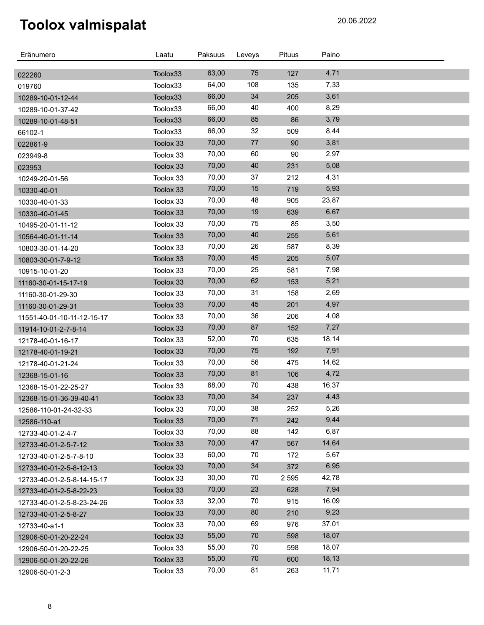| Eränumero                              | Laatu                | Paksuus | Leveys | Pituus  | Paino |  |
|----------------------------------------|----------------------|---------|--------|---------|-------|--|
|                                        |                      | 63,00   | 75     | 127     | 4,71  |  |
| 022260                                 | Toolox33<br>Toolox33 | 64,00   | 108    | 135     | 7,33  |  |
| 019760                                 | Toolox33             | 66,00   | 34     | 205     | 3,61  |  |
| 10289-10-01-12-44<br>10289-10-01-37-42 | Toolox33             | 66,00   | 40     | 400     | 8,29  |  |
|                                        | Toolox33             | 66,00   | 85     | 86      | 3,79  |  |
| 10289-10-01-48-51<br>66102-1           | Toolox33             | 66,00   | 32     | 509     | 8,44  |  |
| 022861-9                               | Toolox 33            | 70,00   | 77     | 90      | 3,81  |  |
| 023949-8                               | Toolox 33            | 70,00   | 60     | 90      | 2,97  |  |
| 023953                                 | Toolox 33            | 70,00   | 40     | 231     | 5,08  |  |
| 10249-20-01-56                         | Toolox 33            | 70,00   | 37     | 212     | 4,31  |  |
| 10330-40-01                            | Toolox 33            | 70,00   | 15     | 719     | 5,93  |  |
| 10330-40-01-33                         | Toolox 33            | 70,00   | 48     | 905     | 23,87 |  |
| 10330-40-01-45                         | Toolox 33            | 70,00   | 19     | 639     | 6,67  |  |
| 10495-20-01-11-12                      | Toolox 33            | 70,00   | 75     | 85      | 3,50  |  |
| 10564-40-01-11-14                      | Toolox 33            | 70,00   | 40     | 255     | 5,61  |  |
| 10803-30-01-14-20                      | Toolox 33            | 70,00   | 26     | 587     | 8,39  |  |
| 10803-30-01-7-9-12                     | Toolox 33            | 70,00   | 45     | 205     | 5,07  |  |
| 10915-10-01-20                         | Toolox 33            | 70,00   | 25     | 581     | 7,98  |  |
| 11160-30-01-15-17-19                   | Toolox 33            | 70,00   | 62     | 153     | 5,21  |  |
| 11160-30-01-29-30                      | Toolox 33            | 70,00   | 31     | 158     | 2,69  |  |
| 11160-30-01-29-31                      | Toolox 33            | 70,00   | 45     | 201     | 4,97  |  |
| 11551-40-01-10-11-12-15-17             | Toolox 33            | 70,00   | 36     | 206     | 4,08  |  |
| 11914-10-01-2-7-8-14                   | Toolox 33            | 70,00   | 87     | 152     | 7,27  |  |
| 12178-40-01-16-17                      | Toolox 33            | 52,00   | 70     | 635     | 18,14 |  |
| 12178-40-01-19-21                      | Toolox 33            | 70,00   | 75     | 192     | 7,91  |  |
| 12178-40-01-21-24                      | Toolox 33            | 70,00   | 56     | 475     | 14,62 |  |
| 12368-15-01-16                         | Toolox 33            | 70,00   | 81     | 106     | 4,72  |  |
| 12368-15-01-22-25-27                   | Toolox 33            | 68,00   | 70     | 438     | 16,37 |  |
| 12368-15-01-36-39-40-41                | Toolox 33            | 70,00   | 34     | 237     | 4,43  |  |
| 12586-110-01-24-32-33                  | Toolox 33            | 70,00   | 38     | 252     | 5,26  |  |
| 12586-110-a1                           | Toolox 33            | 70,00   | 71     | 242     | 9,44  |  |
| 12733-40-01-2-4-7                      | Toolox 33            | 70,00   | 88     | 142     | 6,87  |  |
| 12733-40-01-2-5-7-12                   | Toolox 33            | 70,00   | 47     | 567     | 14,64 |  |
| 12733-40-01-2-5-7-8-10                 | Toolox 33            | 60,00   | 70     | 172     | 5,67  |  |
| 12733-40-01-2-5-8-12-13                | Toolox 33            | 70,00   | 34     | 372     | 6,95  |  |
| 12733-40-01-2-5-8-14-15-17             | Toolox 33            | 30,00   | 70     | 2 5 9 5 | 42,78 |  |
| 12733-40-01-2-5-8-22-23                | Toolox 33            | 70,00   | 23     | 628     | 7,94  |  |
| 12733-40-01-2-5-8-23-24-26             | Toolox 33            | 32,00   | 70     | 915     | 16,09 |  |
| 12733-40-01-2-5-8-27                   | Toolox 33            | 70,00   | 80     | 210     | 9,23  |  |
| 12733-40-a1-1                          | Toolox 33            | 70,00   | 69     | 976     | 37,01 |  |
| 12906-50-01-20-22-24                   | Toolox 33            | 55,00   | 70     | 598     | 18,07 |  |
| 12906-50-01-20-22-25                   | Toolox 33            | 55,00   | 70     | 598     | 18,07 |  |
| 12906-50-01-20-22-26                   | Toolox 33            | 55,00   | 70     | 600     | 18,13 |  |
| 12906-50-01-2-3                        | Toolox 33            | 70,00   | 81     | 263     | 11,71 |  |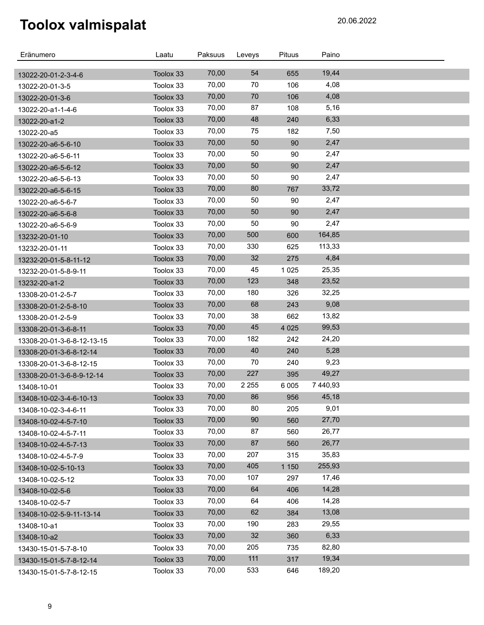| Eränumero                              | Laatu     | Paksuus | Leveys  | Pituus  | Paino    |  |
|----------------------------------------|-----------|---------|---------|---------|----------|--|
|                                        | Toolox 33 | 70,00   | 54      | 655     | 19,44    |  |
| 13022-20-01-2-3-4-6<br>13022-20-01-3-5 | Toolox 33 | 70,00   | 70      | 106     | 4,08     |  |
| 13022-20-01-3-6                        | Toolox 33 | 70,00   | 70      | 106     | 4,08     |  |
| 13022-20-a1-1-4-6                      | Toolox 33 | 70,00   | 87      | 108     | 5,16     |  |
| 13022-20-a1-2                          | Toolox 33 | 70,00   | 48      | 240     | 6,33     |  |
| 13022-20-a5                            | Toolox 33 | 70,00   | 75      | 182     | 7,50     |  |
| 13022-20-a6-5-6-10                     | Toolox 33 | 70,00   | 50      | 90      | 2,47     |  |
| 13022-20-a6-5-6-11                     | Toolox 33 | 70,00   | 50      | 90      | 2,47     |  |
| 13022-20-a6-5-6-12                     | Toolox 33 | 70,00   | 50      | 90      | 2,47     |  |
| 13022-20-a6-5-6-13                     | Toolox 33 | 70,00   | 50      | 90      | 2,47     |  |
| 13022-20-a6-5-6-15                     | Toolox 33 | 70,00   | 80      | 767     | 33,72    |  |
| 13022-20-a6-5-6-7                      | Toolox 33 | 70,00   | 50      | 90      | 2,47     |  |
| 13022-20-a6-5-6-8                      | Toolox 33 | 70,00   | 50      | 90      | 2,47     |  |
| 13022-20-a6-5-6-9                      | Toolox 33 | 70,00   | 50      | 90      | 2,47     |  |
| 13232-20-01-10                         | Toolox 33 | 70,00   | 500     | 600     | 164,85   |  |
| 13232-20-01-11                         | Toolox 33 | 70,00   | 330     | 625     | 113,33   |  |
| 13232-20-01-5-8-11-12                  | Toolox 33 | 70,00   | 32      | 275     | 4,84     |  |
| 13232-20-01-5-8-9-11                   | Toolox 33 | 70,00   | 45      | 1 0 2 5 | 25,35    |  |
| 13232-20-a1-2                          | Toolox 33 | 70,00   | 123     | 348     | 23,52    |  |
| 13308-20-01-2-5-7                      | Toolox 33 | 70,00   | 180     | 326     | 32,25    |  |
| 13308-20-01-2-5-8-10                   | Toolox 33 | 70,00   | 68      | 243     | 9,08     |  |
| 13308-20-01-2-5-9                      | Toolox 33 | 70,00   | 38      | 662     | 13,82    |  |
| 13308-20-01-3-6-8-11                   | Toolox 33 | 70,00   | 45      | 4 0 2 5 | 99,53    |  |
| 13308-20-01-3-6-8-12-13-15             | Toolox 33 | 70,00   | 182     | 242     | 24,20    |  |
| 13308-20-01-3-6-8-12-14                | Toolox 33 | 70,00   | 40      | 240     | 5,28     |  |
| 13308-20-01-3-6-8-12-15                | Toolox 33 | 70,00   | 70      | 240     | 9,23     |  |
| 13308-20-01-3-6-8-9-12-14              | Toolox 33 | 70,00   | 227     | 395     | 49,27    |  |
| 13408-10-01                            | Toolox 33 | 70,00   | 2 2 5 5 | 6 0 0 5 | 7 440,93 |  |
| 13408-10-02-3-4-6-10-13                | Toolox 33 | 70,00   | 86      | 956     | 45,18    |  |
| 13408-10-02-3-4-6-11                   | Toolox 33 | 70,00   | 80      | 205     | 9,01     |  |
| 13408-10-02-4-5-7-10                   | Toolox 33 | 70,00   | 90      | 560     | 27,70    |  |
| 13408-10-02-4-5-7-11                   | Toolox 33 | 70,00   | 87      | 560     | 26,77    |  |
| 13408-10-02-4-5-7-13                   | Toolox 33 | 70,00   | 87      | 560     | 26,77    |  |
| 13408-10-02-4-5-7-9                    | Toolox 33 | 70,00   | 207     | 315     | 35,83    |  |
| 13408-10-02-5-10-13                    | Toolox 33 | 70,00   | 405     | 1 1 5 0 | 255,93   |  |
| 13408-10-02-5-12                       | Toolox 33 | 70,00   | 107     | 297     | 17,46    |  |
| 13408-10-02-5-6                        | Toolox 33 | 70,00   | 64      | 406     | 14,28    |  |
| 13408-10-02-5-7                        | Toolox 33 | 70,00   | 64      | 406     | 14,28    |  |
| 13408-10-02-5-9-11-13-14               | Toolox 33 | 70,00   | 62      | 384     | 13,08    |  |
| 13408-10-a1                            | Toolox 33 | 70,00   | 190     | 283     | 29,55    |  |
| 13408-10-a2                            | Toolox 33 | 70,00   | 32      | 360     | 6,33     |  |
| 13430-15-01-5-7-8-10                   | Toolox 33 | 70,00   | 205     | 735     | 82,80    |  |
| 13430-15-01-5-7-8-12-14                | Toolox 33 | 70,00   | 111     | 317     | 19,34    |  |
| 13430-15-01-5-7-8-12-15                | Toolox 33 | 70,00   | 533     | 646     | 189,20   |  |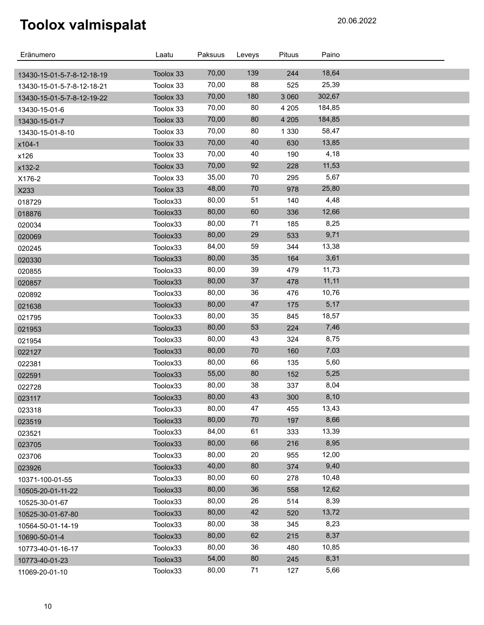| Eränumero                  | Laatu     | Paksuus | Leveys | Pituus  | Paino  |  |
|----------------------------|-----------|---------|--------|---------|--------|--|
| 13430-15-01-5-7-8-12-18-19 | Toolox 33 | 70,00   | 139    | 244     | 18,64  |  |
| 13430-15-01-5-7-8-12-18-21 | Toolox 33 | 70,00   | 88     | 525     | 25,39  |  |
| 13430-15-01-5-7-8-12-19-22 | Toolox 33 | 70,00   | 180    | 3 0 6 0 | 302,67 |  |
| 13430-15-01-6              | Toolox 33 | 70,00   | 80     | 4 2 0 5 | 184,85 |  |
| 13430-15-01-7              | Toolox 33 | 70,00   | 80     | 4 2 0 5 | 184,85 |  |
| 13430-15-01-8-10           | Toolox 33 | 70,00   | 80     | 1 3 3 0 | 58,47  |  |
| x104-1                     | Toolox 33 | 70,00   | 40     | 630     | 13,85  |  |
| x126                       | Toolox 33 | 70,00   | 40     | 190     | 4,18   |  |
| x132-2                     | Toolox 33 | 70,00   | 92     | 228     | 11,53  |  |
| X176-2                     | Toolox 33 | 35,00   | 70     | 295     | 5,67   |  |
| X233                       | Toolox 33 | 48,00   | $70\,$ | 978     | 25,80  |  |
| 018729                     | Toolox33  | 80,00   | 51     | 140     | 4,48   |  |
| 018876                     | Toolox33  | 80,00   | 60     | 336     | 12,66  |  |
| 020034                     | Toolox33  | 80,00   | 71     | 185     | 8,25   |  |
| 020069                     | Toolox33  | 80,00   | 29     | 533     | 9,71   |  |
| 020245                     | Toolox33  | 84,00   | 59     | 344     | 13,38  |  |
| 020330                     | Toolox33  | 80,00   | 35     | 164     | 3,61   |  |
| 020855                     | Toolox33  | 80,00   | 39     | 479     | 11,73  |  |
| 020857                     | Toolox33  | 80,00   | 37     | 478     | 11, 11 |  |
| 020892                     | Toolox33  | 80,00   | 36     | 476     | 10,76  |  |
| 021638                     | Toolox33  | 80,00   | $47\,$ | 175     | 5,17   |  |
| 021795                     | Toolox33  | 80,00   | 35     | 845     | 18,57  |  |
| 021953                     | Toolox33  | 80,00   | 53     | 224     | 7,46   |  |
| 021954                     | Toolox33  | 80,00   | 43     | 324     | 8,75   |  |
| 022127                     | Toolox33  | 80,00   | $70\,$ | 160     | 7,03   |  |
| 022381                     | Toolox33  | 80,00   | 66     | 135     | 5,60   |  |
| 022591                     | Toolox33  | 55,00   | 80     | 152     | 5,25   |  |
| 022728                     | Toolox33  | 80,00   | 38     | 337     | 8,04   |  |
| 023117                     | Toolox33  | 80,00   | 43     | 300     | 8,10   |  |
| 023318                     | Toolox33  | 80,00   | 47     | 455     | 13,43  |  |
| 023519                     | Toolox33  | 80,00   | $70\,$ | 197     | 8,66   |  |
| 023521                     | Toolox33  | 84,00   | 61     | 333     | 13,39  |  |
| 023705                     | Toolox33  | 80,00   | 66     | 216     | 8,95   |  |
| 023706                     | Toolox33  | 80,00   | 20     | 955     | 12,00  |  |
| 023926                     | Toolox33  | 40,00   | 80     | 374     | 9,40   |  |
| 10371-100-01-55            | Toolox33  | 80,00   | 60     | 278     | 10,48  |  |
| 10505-20-01-11-22          | Toolox33  | 80,00   | 36     | 558     | 12,62  |  |
| 10525-30-01-67             | Toolox33  | 80,00   | 26     | 514     | 8,39   |  |
| 10525-30-01-67-80          | Toolox33  | 80,00   | 42     | 520     | 13,72  |  |
| 10564-50-01-14-19          | Toolox33  | 80,00   | 38     | 345     | 8,23   |  |
| 10690-50-01-4              | Toolox33  | 80,00   | 62     | 215     | 8,37   |  |
| 10773-40-01-16-17          | Toolox33  | 80,00   | 36     | 480     | 10,85  |  |
| 10773-40-01-23             | Toolox33  | 54,00   | 80     | 245     | 8,31   |  |
| 11069-20-01-10             | Toolox33  | 80,00   | 71     | 127     | 5,66   |  |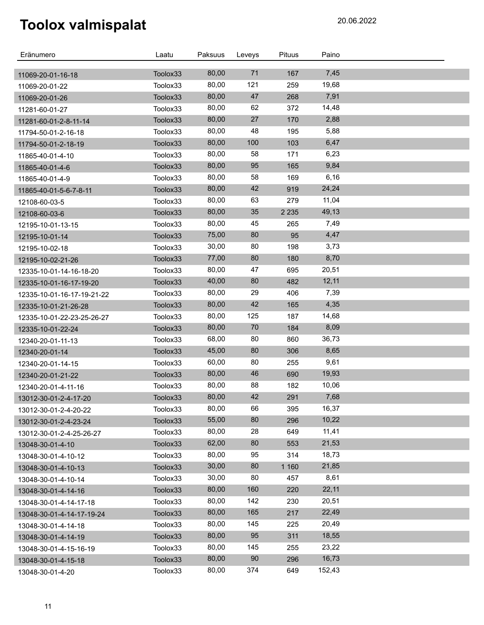| Eränumero                        | Laatu    | Paksuus | Leveys | Pituus  | Paino  |  |
|----------------------------------|----------|---------|--------|---------|--------|--|
|                                  | Toolox33 | 80,00   | 71     | 167     | 7,45   |  |
| 11069-20-01-16-18                | Toolox33 | 80,00   | 121    | 259     | 19,68  |  |
| 11069-20-01-22<br>11069-20-01-26 | Toolox33 | 80,00   | 47     | 268     | 7,91   |  |
| 11281-60-01-27                   | Toolox33 | 80,00   | 62     | 372     | 14,48  |  |
| 11281-60-01-2-8-11-14            | Toolox33 | 80,00   | 27     | 170     | 2,88   |  |
| 11794-50-01-2-16-18              | Toolox33 | 80,00   | 48     | 195     | 5,88   |  |
| 11794-50-01-2-18-19              | Toolox33 | 80,00   | 100    | 103     | 6,47   |  |
| 11865-40-01-4-10                 | Toolox33 | 80,00   | 58     | 171     | 6,23   |  |
| 11865-40-01-4-6                  | Toolox33 | 80,00   | 95     | 165     | 9,84   |  |
| 11865-40-01-4-9                  | Toolox33 | 80,00   | 58     | 169     | 6,16   |  |
| 11865-40-01-5-6-7-8-11           | Toolox33 | 80,00   | 42     | 919     | 24,24  |  |
| 12108-60-03-5                    | Toolox33 | 80,00   | 63     | 279     | 11,04  |  |
| 12108-60-03-6                    | Toolox33 | 80,00   | 35     | 2 2 3 5 | 49,13  |  |
| 12195-10-01-13-15                | Toolox33 | 80,00   | 45     | 265     | 7,49   |  |
| 12195-10-01-14                   | Toolox33 | 75,00   | 80     | 95      | 4,47   |  |
| 12195-10-02-18                   | Toolox33 | 30,00   | 80     | 198     | 3,73   |  |
| 12195-10-02-21-26                | Toolox33 | 77,00   | 80     | 180     | 8,70   |  |
| 12335-10-01-14-16-18-20          | Toolox33 | 80,00   | 47     | 695     | 20,51  |  |
| 12335-10-01-16-17-19-20          | Toolox33 | 40,00   | 80     | 482     | 12,11  |  |
| 12335-10-01-16-17-19-21-22       | Toolox33 | 80,00   | 29     | 406     | 7,39   |  |
| 12335-10-01-21-26-28             | Toolox33 | 80,00   | 42     | 165     | 4,35   |  |
| 12335-10-01-22-23-25-26-27       | Toolox33 | 80,00   | 125    | 187     | 14,68  |  |
| 12335-10-01-22-24                | Toolox33 | 80,00   | 70     | 184     | 8,09   |  |
| 12340-20-01-11-13                | Toolox33 | 68,00   | 80     | 860     | 36,73  |  |
| 12340-20-01-14                   | Toolox33 | 45,00   | 80     | 306     | 8,65   |  |
| 12340-20-01-14-15                | Toolox33 | 60,00   | 80     | 255     | 9,61   |  |
| 12340-20-01-21-22                | Toolox33 | 80,00   | 46     | 690     | 19,93  |  |
| 12340-20-01-4-11-16              | Toolox33 | 80,00   | 88     | 182     | 10,06  |  |
| 13012-30-01-2-4-17-20            | Toolox33 | 80,00   | 42     | 291     | 7,68   |  |
| 13012-30-01-2-4-20-22            | Toolox33 | 80,00   | 66     | 395     | 16,37  |  |
| 13012-30-01-2-4-23-24            | Toolox33 | 55,00   | 80     | 296     | 10,22  |  |
| 13012-30-01-2-4-25-26-27         | Toolox33 | 80,00   | 28     | 649     | 11,41  |  |
| 13048-30-01-4-10                 | Toolox33 | 62,00   | 80     | 553     | 21,53  |  |
| 13048-30-01-4-10-12              | Toolox33 | 80,00   | 95     | 314     | 18,73  |  |
| 13048-30-01-4-10-13              | Toolox33 | 30,00   | 80     | 1 1 6 0 | 21,85  |  |
| 13048-30-01-4-10-14              | Toolox33 | 30,00   | 80     | 457     | 8,61   |  |
| 13048-30-01-4-14-16              | Toolox33 | 80,00   | 160    | 220     | 22,11  |  |
| 13048-30-01-4-14-17-18           | Toolox33 | 80,00   | 142    | 230     | 20,51  |  |
| 13048-30-01-4-14-17-19-24        | Toolox33 | 80,00   | 165    | 217     | 22,49  |  |
| 13048-30-01-4-14-18              | Toolox33 | 80,00   | 145    | 225     | 20,49  |  |
| 13048-30-01-4-14-19              | Toolox33 | 80,00   | 95     | 311     | 18,55  |  |
| 13048-30-01-4-15-16-19           | Toolox33 | 80,00   | 145    | 255     | 23,22  |  |
| 13048-30-01-4-15-18              | Toolox33 | 80,00   | 90     | 296     | 16,73  |  |
| 13048-30-01-4-20                 | Toolox33 | 80,00   | 374    | 649     | 152,43 |  |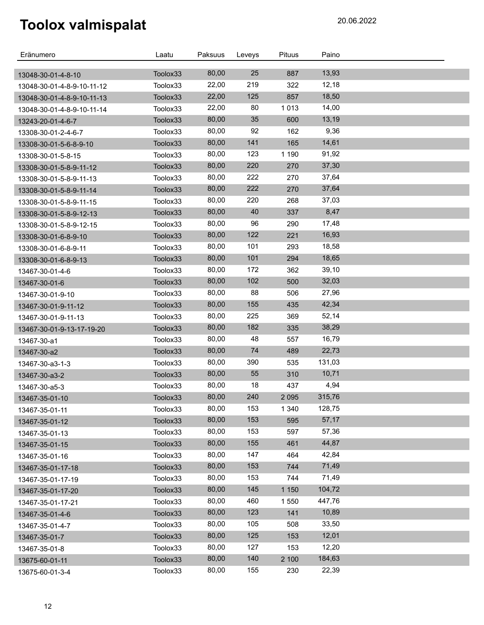| 25<br>80,00<br>887<br>13,93<br>Toolox33<br>13048-30-01-4-8-10<br>219<br>22,00<br>12,18<br>322<br>Toolox33<br>13048-30-01-4-8-9-10-11-12<br>22,00<br>125<br>18,50<br>857<br>Toolox33<br>13048-30-01-4-8-9-10-11-13<br>22,00<br>80<br>1013<br>14,00<br>Toolox33<br>13048-30-01-4-8-9-10-11-14<br>80,00<br>35<br>600<br>13,19<br>Toolox33<br>13243-20-01-4-6-7<br>80,00<br>92<br>9,36<br>162<br>Toolox33<br>13308-30-01-2-4-6-7<br>80,00<br>141<br>14,61<br>Toolox33<br>165<br>13308-30-01-5-6-8-9-10<br>123<br>80,00<br>91,92<br>1 1 9 0<br>Toolox33<br>13308-30-01-5-8-15<br>80,00<br>220<br>37,30<br>270<br>Toolox33<br>13308-30-01-5-8-9-11-12<br>222<br>80,00<br>37,64<br>270<br>Toolox33<br>13308-30-01-5-8-9-11-13<br>80,00<br>222<br>37,64<br>270<br>Toolox33<br>13308-30-01-5-8-9-11-14<br>220<br>80,00<br>37,03<br>268<br>Toolox33<br>13308-30-01-5-8-9-11-15<br>40<br>80,00<br>8,47<br>337<br>Toolox33<br>13308-30-01-5-8-9-12-13<br>80,00<br>96<br>17,48<br>290<br>Toolox33<br>13308-30-01-5-8-9-12-15<br>80,00<br>122<br>16,93<br>221<br>Toolox33<br>13308-30-01-6-8-9-10<br>80,00<br>101<br>18,58<br>293<br>Toolox33<br>13308-30-01-6-8-9-11<br>101<br>80,00<br>294<br>18,65<br>Toolox33<br>13308-30-01-6-8-9-13<br>172<br>80,00<br>39,10<br>362<br>Toolox33<br>13467-30-01-4-6<br>80,00<br>102<br>32,03<br>500<br>Toolox33<br>13467-30-01-6<br>80,00<br>88<br>27,96<br>506<br>Toolox33<br>13467-30-01-9-10<br>155<br>42,34<br>80,00<br>435<br>Toolox33<br>13467-30-01-9-11-12<br>80,00<br>225<br>52,14<br>369<br>Toolox33<br>13467-30-01-9-11-13<br>80,00<br>182<br>38,29<br>335<br>Toolox33<br>13467-30-01-9-13-17-19-20<br>80,00<br>48<br>16,79<br>557<br>Toolox33<br>13467-30-a1<br>74<br>22,73<br>80,00<br>Toolox33<br>489<br>13467-30-a2<br>390<br>80,00<br>131,03<br>535<br>Toolox33<br>13467-30-a3-1-3<br>80,00<br>55<br>10,71<br>310<br>Toolox33<br>13467-30-a3-2<br>80,00<br>18<br>4,94<br>437<br>Toolox33<br>13467-30-a5-3<br>80,00<br>240<br>315,76<br>2 0 9 5<br>Toolox33<br>13467-35-01-10<br>80,00<br>153<br>1 3 4 0<br>128,75<br>Toolox33<br>13467-35-01-11<br>80,00<br>153<br>57,17<br>595<br>Toolox33<br>13467-35-01-12<br>80,00<br>153<br>57,36<br>597<br>Toolox33<br>13467-35-01-13<br>44,87<br>80,00<br>155<br>461<br>Toolox33<br>13467-35-01-15<br>80,00<br>147<br>42,84<br>464<br>Toolox33<br>13467-35-01-16<br>80,00<br>153<br>71,49<br>744<br>Toolox33<br>13467-35-01-17-18<br>80,00<br>153<br>71,49<br>Toolox33<br>744<br>13467-35-01-17-19<br>80,00<br>145<br>104,72<br>1 1 5 0<br>Toolox33<br>13467-35-01-17-20 | Eränumero         | Laatu    | Paksuus | Leveys | Pituus  | Paino  |  |
|--------------------------------------------------------------------------------------------------------------------------------------------------------------------------------------------------------------------------------------------------------------------------------------------------------------------------------------------------------------------------------------------------------------------------------------------------------------------------------------------------------------------------------------------------------------------------------------------------------------------------------------------------------------------------------------------------------------------------------------------------------------------------------------------------------------------------------------------------------------------------------------------------------------------------------------------------------------------------------------------------------------------------------------------------------------------------------------------------------------------------------------------------------------------------------------------------------------------------------------------------------------------------------------------------------------------------------------------------------------------------------------------------------------------------------------------------------------------------------------------------------------------------------------------------------------------------------------------------------------------------------------------------------------------------------------------------------------------------------------------------------------------------------------------------------------------------------------------------------------------------------------------------------------------------------------------------------------------------------------------------------------------------------------------------------------------------------------------------------------------------------------------------------------------------------------------------------------------------------------------------------------------------------------------------------------------------------------------------------------------------------------------------------------------------------------------------------------------------------------------------------------------------------------------------------|-------------------|----------|---------|--------|---------|--------|--|
|                                                                                                                                                                                                                                                                                                                                                                                                                                                                                                                                                                                                                                                                                                                                                                                                                                                                                                                                                                                                                                                                                                                                                                                                                                                                                                                                                                                                                                                                                                                                                                                                                                                                                                                                                                                                                                                                                                                                                                                                                                                                                                                                                                                                                                                                                                                                                                                                                                                                                                                                                        |                   |          |         |        |         |        |  |
|                                                                                                                                                                                                                                                                                                                                                                                                                                                                                                                                                                                                                                                                                                                                                                                                                                                                                                                                                                                                                                                                                                                                                                                                                                                                                                                                                                                                                                                                                                                                                                                                                                                                                                                                                                                                                                                                                                                                                                                                                                                                                                                                                                                                                                                                                                                                                                                                                                                                                                                                                        |                   |          |         |        |         |        |  |
|                                                                                                                                                                                                                                                                                                                                                                                                                                                                                                                                                                                                                                                                                                                                                                                                                                                                                                                                                                                                                                                                                                                                                                                                                                                                                                                                                                                                                                                                                                                                                                                                                                                                                                                                                                                                                                                                                                                                                                                                                                                                                                                                                                                                                                                                                                                                                                                                                                                                                                                                                        |                   |          |         |        |         |        |  |
|                                                                                                                                                                                                                                                                                                                                                                                                                                                                                                                                                                                                                                                                                                                                                                                                                                                                                                                                                                                                                                                                                                                                                                                                                                                                                                                                                                                                                                                                                                                                                                                                                                                                                                                                                                                                                                                                                                                                                                                                                                                                                                                                                                                                                                                                                                                                                                                                                                                                                                                                                        |                   |          |         |        |         |        |  |
|                                                                                                                                                                                                                                                                                                                                                                                                                                                                                                                                                                                                                                                                                                                                                                                                                                                                                                                                                                                                                                                                                                                                                                                                                                                                                                                                                                                                                                                                                                                                                                                                                                                                                                                                                                                                                                                                                                                                                                                                                                                                                                                                                                                                                                                                                                                                                                                                                                                                                                                                                        |                   |          |         |        |         |        |  |
|                                                                                                                                                                                                                                                                                                                                                                                                                                                                                                                                                                                                                                                                                                                                                                                                                                                                                                                                                                                                                                                                                                                                                                                                                                                                                                                                                                                                                                                                                                                                                                                                                                                                                                                                                                                                                                                                                                                                                                                                                                                                                                                                                                                                                                                                                                                                                                                                                                                                                                                                                        |                   |          |         |        |         |        |  |
|                                                                                                                                                                                                                                                                                                                                                                                                                                                                                                                                                                                                                                                                                                                                                                                                                                                                                                                                                                                                                                                                                                                                                                                                                                                                                                                                                                                                                                                                                                                                                                                                                                                                                                                                                                                                                                                                                                                                                                                                                                                                                                                                                                                                                                                                                                                                                                                                                                                                                                                                                        |                   |          |         |        |         |        |  |
|                                                                                                                                                                                                                                                                                                                                                                                                                                                                                                                                                                                                                                                                                                                                                                                                                                                                                                                                                                                                                                                                                                                                                                                                                                                                                                                                                                                                                                                                                                                                                                                                                                                                                                                                                                                                                                                                                                                                                                                                                                                                                                                                                                                                                                                                                                                                                                                                                                                                                                                                                        |                   |          |         |        |         |        |  |
|                                                                                                                                                                                                                                                                                                                                                                                                                                                                                                                                                                                                                                                                                                                                                                                                                                                                                                                                                                                                                                                                                                                                                                                                                                                                                                                                                                                                                                                                                                                                                                                                                                                                                                                                                                                                                                                                                                                                                                                                                                                                                                                                                                                                                                                                                                                                                                                                                                                                                                                                                        |                   |          |         |        |         |        |  |
|                                                                                                                                                                                                                                                                                                                                                                                                                                                                                                                                                                                                                                                                                                                                                                                                                                                                                                                                                                                                                                                                                                                                                                                                                                                                                                                                                                                                                                                                                                                                                                                                                                                                                                                                                                                                                                                                                                                                                                                                                                                                                                                                                                                                                                                                                                                                                                                                                                                                                                                                                        |                   |          |         |        |         |        |  |
|                                                                                                                                                                                                                                                                                                                                                                                                                                                                                                                                                                                                                                                                                                                                                                                                                                                                                                                                                                                                                                                                                                                                                                                                                                                                                                                                                                                                                                                                                                                                                                                                                                                                                                                                                                                                                                                                                                                                                                                                                                                                                                                                                                                                                                                                                                                                                                                                                                                                                                                                                        |                   |          |         |        |         |        |  |
|                                                                                                                                                                                                                                                                                                                                                                                                                                                                                                                                                                                                                                                                                                                                                                                                                                                                                                                                                                                                                                                                                                                                                                                                                                                                                                                                                                                                                                                                                                                                                                                                                                                                                                                                                                                                                                                                                                                                                                                                                                                                                                                                                                                                                                                                                                                                                                                                                                                                                                                                                        |                   |          |         |        |         |        |  |
|                                                                                                                                                                                                                                                                                                                                                                                                                                                                                                                                                                                                                                                                                                                                                                                                                                                                                                                                                                                                                                                                                                                                                                                                                                                                                                                                                                                                                                                                                                                                                                                                                                                                                                                                                                                                                                                                                                                                                                                                                                                                                                                                                                                                                                                                                                                                                                                                                                                                                                                                                        |                   |          |         |        |         |        |  |
|                                                                                                                                                                                                                                                                                                                                                                                                                                                                                                                                                                                                                                                                                                                                                                                                                                                                                                                                                                                                                                                                                                                                                                                                                                                                                                                                                                                                                                                                                                                                                                                                                                                                                                                                                                                                                                                                                                                                                                                                                                                                                                                                                                                                                                                                                                                                                                                                                                                                                                                                                        |                   |          |         |        |         |        |  |
|                                                                                                                                                                                                                                                                                                                                                                                                                                                                                                                                                                                                                                                                                                                                                                                                                                                                                                                                                                                                                                                                                                                                                                                                                                                                                                                                                                                                                                                                                                                                                                                                                                                                                                                                                                                                                                                                                                                                                                                                                                                                                                                                                                                                                                                                                                                                                                                                                                                                                                                                                        |                   |          |         |        |         |        |  |
|                                                                                                                                                                                                                                                                                                                                                                                                                                                                                                                                                                                                                                                                                                                                                                                                                                                                                                                                                                                                                                                                                                                                                                                                                                                                                                                                                                                                                                                                                                                                                                                                                                                                                                                                                                                                                                                                                                                                                                                                                                                                                                                                                                                                                                                                                                                                                                                                                                                                                                                                                        |                   |          |         |        |         |        |  |
|                                                                                                                                                                                                                                                                                                                                                                                                                                                                                                                                                                                                                                                                                                                                                                                                                                                                                                                                                                                                                                                                                                                                                                                                                                                                                                                                                                                                                                                                                                                                                                                                                                                                                                                                                                                                                                                                                                                                                                                                                                                                                                                                                                                                                                                                                                                                                                                                                                                                                                                                                        |                   |          |         |        |         |        |  |
|                                                                                                                                                                                                                                                                                                                                                                                                                                                                                                                                                                                                                                                                                                                                                                                                                                                                                                                                                                                                                                                                                                                                                                                                                                                                                                                                                                                                                                                                                                                                                                                                                                                                                                                                                                                                                                                                                                                                                                                                                                                                                                                                                                                                                                                                                                                                                                                                                                                                                                                                                        |                   |          |         |        |         |        |  |
|                                                                                                                                                                                                                                                                                                                                                                                                                                                                                                                                                                                                                                                                                                                                                                                                                                                                                                                                                                                                                                                                                                                                                                                                                                                                                                                                                                                                                                                                                                                                                                                                                                                                                                                                                                                                                                                                                                                                                                                                                                                                                                                                                                                                                                                                                                                                                                                                                                                                                                                                                        |                   |          |         |        |         |        |  |
|                                                                                                                                                                                                                                                                                                                                                                                                                                                                                                                                                                                                                                                                                                                                                                                                                                                                                                                                                                                                                                                                                                                                                                                                                                                                                                                                                                                                                                                                                                                                                                                                                                                                                                                                                                                                                                                                                                                                                                                                                                                                                                                                                                                                                                                                                                                                                                                                                                                                                                                                                        |                   |          |         |        |         |        |  |
|                                                                                                                                                                                                                                                                                                                                                                                                                                                                                                                                                                                                                                                                                                                                                                                                                                                                                                                                                                                                                                                                                                                                                                                                                                                                                                                                                                                                                                                                                                                                                                                                                                                                                                                                                                                                                                                                                                                                                                                                                                                                                                                                                                                                                                                                                                                                                                                                                                                                                                                                                        |                   |          |         |        |         |        |  |
|                                                                                                                                                                                                                                                                                                                                                                                                                                                                                                                                                                                                                                                                                                                                                                                                                                                                                                                                                                                                                                                                                                                                                                                                                                                                                                                                                                                                                                                                                                                                                                                                                                                                                                                                                                                                                                                                                                                                                                                                                                                                                                                                                                                                                                                                                                                                                                                                                                                                                                                                                        |                   |          |         |        |         |        |  |
|                                                                                                                                                                                                                                                                                                                                                                                                                                                                                                                                                                                                                                                                                                                                                                                                                                                                                                                                                                                                                                                                                                                                                                                                                                                                                                                                                                                                                                                                                                                                                                                                                                                                                                                                                                                                                                                                                                                                                                                                                                                                                                                                                                                                                                                                                                                                                                                                                                                                                                                                                        |                   |          |         |        |         |        |  |
|                                                                                                                                                                                                                                                                                                                                                                                                                                                                                                                                                                                                                                                                                                                                                                                                                                                                                                                                                                                                                                                                                                                                                                                                                                                                                                                                                                                                                                                                                                                                                                                                                                                                                                                                                                                                                                                                                                                                                                                                                                                                                                                                                                                                                                                                                                                                                                                                                                                                                                                                                        |                   |          |         |        |         |        |  |
|                                                                                                                                                                                                                                                                                                                                                                                                                                                                                                                                                                                                                                                                                                                                                                                                                                                                                                                                                                                                                                                                                                                                                                                                                                                                                                                                                                                                                                                                                                                                                                                                                                                                                                                                                                                                                                                                                                                                                                                                                                                                                                                                                                                                                                                                                                                                                                                                                                                                                                                                                        |                   |          |         |        |         |        |  |
|                                                                                                                                                                                                                                                                                                                                                                                                                                                                                                                                                                                                                                                                                                                                                                                                                                                                                                                                                                                                                                                                                                                                                                                                                                                                                                                                                                                                                                                                                                                                                                                                                                                                                                                                                                                                                                                                                                                                                                                                                                                                                                                                                                                                                                                                                                                                                                                                                                                                                                                                                        |                   |          |         |        |         |        |  |
|                                                                                                                                                                                                                                                                                                                                                                                                                                                                                                                                                                                                                                                                                                                                                                                                                                                                                                                                                                                                                                                                                                                                                                                                                                                                                                                                                                                                                                                                                                                                                                                                                                                                                                                                                                                                                                                                                                                                                                                                                                                                                                                                                                                                                                                                                                                                                                                                                                                                                                                                                        |                   |          |         |        |         |        |  |
|                                                                                                                                                                                                                                                                                                                                                                                                                                                                                                                                                                                                                                                                                                                                                                                                                                                                                                                                                                                                                                                                                                                                                                                                                                                                                                                                                                                                                                                                                                                                                                                                                                                                                                                                                                                                                                                                                                                                                                                                                                                                                                                                                                                                                                                                                                                                                                                                                                                                                                                                                        |                   |          |         |        |         |        |  |
|                                                                                                                                                                                                                                                                                                                                                                                                                                                                                                                                                                                                                                                                                                                                                                                                                                                                                                                                                                                                                                                                                                                                                                                                                                                                                                                                                                                                                                                                                                                                                                                                                                                                                                                                                                                                                                                                                                                                                                                                                                                                                                                                                                                                                                                                                                                                                                                                                                                                                                                                                        |                   |          |         |        |         |        |  |
|                                                                                                                                                                                                                                                                                                                                                                                                                                                                                                                                                                                                                                                                                                                                                                                                                                                                                                                                                                                                                                                                                                                                                                                                                                                                                                                                                                                                                                                                                                                                                                                                                                                                                                                                                                                                                                                                                                                                                                                                                                                                                                                                                                                                                                                                                                                                                                                                                                                                                                                                                        |                   |          |         |        |         |        |  |
|                                                                                                                                                                                                                                                                                                                                                                                                                                                                                                                                                                                                                                                                                                                                                                                                                                                                                                                                                                                                                                                                                                                                                                                                                                                                                                                                                                                                                                                                                                                                                                                                                                                                                                                                                                                                                                                                                                                                                                                                                                                                                                                                                                                                                                                                                                                                                                                                                                                                                                                                                        |                   |          |         |        |         |        |  |
|                                                                                                                                                                                                                                                                                                                                                                                                                                                                                                                                                                                                                                                                                                                                                                                                                                                                                                                                                                                                                                                                                                                                                                                                                                                                                                                                                                                                                                                                                                                                                                                                                                                                                                                                                                                                                                                                                                                                                                                                                                                                                                                                                                                                                                                                                                                                                                                                                                                                                                                                                        |                   |          |         |        |         |        |  |
|                                                                                                                                                                                                                                                                                                                                                                                                                                                                                                                                                                                                                                                                                                                                                                                                                                                                                                                                                                                                                                                                                                                                                                                                                                                                                                                                                                                                                                                                                                                                                                                                                                                                                                                                                                                                                                                                                                                                                                                                                                                                                                                                                                                                                                                                                                                                                                                                                                                                                                                                                        |                   |          |         |        |         |        |  |
|                                                                                                                                                                                                                                                                                                                                                                                                                                                                                                                                                                                                                                                                                                                                                                                                                                                                                                                                                                                                                                                                                                                                                                                                                                                                                                                                                                                                                                                                                                                                                                                                                                                                                                                                                                                                                                                                                                                                                                                                                                                                                                                                                                                                                                                                                                                                                                                                                                                                                                                                                        |                   |          |         |        |         |        |  |
|                                                                                                                                                                                                                                                                                                                                                                                                                                                                                                                                                                                                                                                                                                                                                                                                                                                                                                                                                                                                                                                                                                                                                                                                                                                                                                                                                                                                                                                                                                                                                                                                                                                                                                                                                                                                                                                                                                                                                                                                                                                                                                                                                                                                                                                                                                                                                                                                                                                                                                                                                        |                   |          |         |        |         |        |  |
|                                                                                                                                                                                                                                                                                                                                                                                                                                                                                                                                                                                                                                                                                                                                                                                                                                                                                                                                                                                                                                                                                                                                                                                                                                                                                                                                                                                                                                                                                                                                                                                                                                                                                                                                                                                                                                                                                                                                                                                                                                                                                                                                                                                                                                                                                                                                                                                                                                                                                                                                                        |                   |          |         |        |         |        |  |
|                                                                                                                                                                                                                                                                                                                                                                                                                                                                                                                                                                                                                                                                                                                                                                                                                                                                                                                                                                                                                                                                                                                                                                                                                                                                                                                                                                                                                                                                                                                                                                                                                                                                                                                                                                                                                                                                                                                                                                                                                                                                                                                                                                                                                                                                                                                                                                                                                                                                                                                                                        |                   |          |         |        |         |        |  |
|                                                                                                                                                                                                                                                                                                                                                                                                                                                                                                                                                                                                                                                                                                                                                                                                                                                                                                                                                                                                                                                                                                                                                                                                                                                                                                                                                                                                                                                                                                                                                                                                                                                                                                                                                                                                                                                                                                                                                                                                                                                                                                                                                                                                                                                                                                                                                                                                                                                                                                                                                        |                   |          |         |        |         |        |  |
|                                                                                                                                                                                                                                                                                                                                                                                                                                                                                                                                                                                                                                                                                                                                                                                                                                                                                                                                                                                                                                                                                                                                                                                                                                                                                                                                                                                                                                                                                                                                                                                                                                                                                                                                                                                                                                                                                                                                                                                                                                                                                                                                                                                                                                                                                                                                                                                                                                                                                                                                                        | 13467-35-01-17-21 | Toolox33 | 80,00   | 460    | 1 5 5 0 | 447,76 |  |
| 80,00<br>10,89<br>123<br>141<br>Toolox33<br>13467-35-01-4-6                                                                                                                                                                                                                                                                                                                                                                                                                                                                                                                                                                                                                                                                                                                                                                                                                                                                                                                                                                                                                                                                                                                                                                                                                                                                                                                                                                                                                                                                                                                                                                                                                                                                                                                                                                                                                                                                                                                                                                                                                                                                                                                                                                                                                                                                                                                                                                                                                                                                                            |                   |          |         |        |         |        |  |
| 80,00<br>105<br>33,50<br>508<br>Toolox33<br>13467-35-01-4-7                                                                                                                                                                                                                                                                                                                                                                                                                                                                                                                                                                                                                                                                                                                                                                                                                                                                                                                                                                                                                                                                                                                                                                                                                                                                                                                                                                                                                                                                                                                                                                                                                                                                                                                                                                                                                                                                                                                                                                                                                                                                                                                                                                                                                                                                                                                                                                                                                                                                                            |                   |          |         |        |         |        |  |
| 80,00<br>125<br>12,01<br>Toolox33<br>153<br>13467-35-01-7                                                                                                                                                                                                                                                                                                                                                                                                                                                                                                                                                                                                                                                                                                                                                                                                                                                                                                                                                                                                                                                                                                                                                                                                                                                                                                                                                                                                                                                                                                                                                                                                                                                                                                                                                                                                                                                                                                                                                                                                                                                                                                                                                                                                                                                                                                                                                                                                                                                                                              |                   |          |         |        |         |        |  |
| 80,00<br>127<br>12,20<br>153<br>Toolox33<br>13467-35-01-8                                                                                                                                                                                                                                                                                                                                                                                                                                                                                                                                                                                                                                                                                                                                                                                                                                                                                                                                                                                                                                                                                                                                                                                                                                                                                                                                                                                                                                                                                                                                                                                                                                                                                                                                                                                                                                                                                                                                                                                                                                                                                                                                                                                                                                                                                                                                                                                                                                                                                              |                   |          |         |        |         |        |  |
| 80,00<br>140<br>184,63<br>2 100<br>Toolox33<br>13675-60-01-11                                                                                                                                                                                                                                                                                                                                                                                                                                                                                                                                                                                                                                                                                                                                                                                                                                                                                                                                                                                                                                                                                                                                                                                                                                                                                                                                                                                                                                                                                                                                                                                                                                                                                                                                                                                                                                                                                                                                                                                                                                                                                                                                                                                                                                                                                                                                                                                                                                                                                          |                   |          |         |        |         |        |  |
| 80,00<br>155<br>22,39<br>230<br>Toolox33<br>13675-60-01-3-4                                                                                                                                                                                                                                                                                                                                                                                                                                                                                                                                                                                                                                                                                                                                                                                                                                                                                                                                                                                                                                                                                                                                                                                                                                                                                                                                                                                                                                                                                                                                                                                                                                                                                                                                                                                                                                                                                                                                                                                                                                                                                                                                                                                                                                                                                                                                                                                                                                                                                            |                   |          |         |        |         |        |  |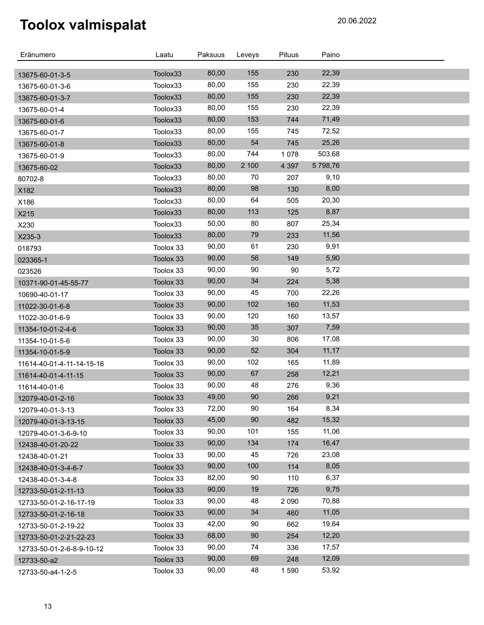| Eränumero                 | Laatu     | Paksuus | Leveys | <b>Pituus</b> | Paino    |  |
|---------------------------|-----------|---------|--------|---------------|----------|--|
|                           | Toolox33  | 80,00   | 155    | 230           | 22,39    |  |
| 13675-60-01-3-5           | Toolox33  | 80,00   | 155    | 230           | 22,39    |  |
| 13675-60-01-3-6           | Toolox33  | 80,00   | 155    | 230           | 22,39    |  |
| 13675-60-01-3-7           | Toolox33  | 80,00   | 155    | 230           | 22,39    |  |
| 13675-60-01-4             |           | 80,00   | 153    | 744           | 71,49    |  |
| 13675-60-01-6             | Toolox33  | 80,00   | 155    | 745           | 72,52    |  |
| 13675-60-01-7             | Toolox33  | 80,00   | 54     |               | 25,26    |  |
| 13675-60-01-8             | Toolox33  | 80,00   | 744    | 745           | 503,68   |  |
| 13675-60-01-9             | Toolox33  | 80,00   | 2 100  | 1078          | 5 798,76 |  |
| 13675-60-02               | Toolox33  | 80,00   | 70     | 4 3 9 7       |          |  |
| 80702-8                   | Toolox33  |         |        | 207           | 9,10     |  |
| X182                      | Toolox33  | 80,00   | 98     | 130           | 8,00     |  |
| X186                      | Toolox33  | 80,00   | 64     | 505           | 20,30    |  |
| X215                      | Toolox33  | 80,00   | 113    | 125           | 8,87     |  |
| X230                      | Toolox33  | 50,00   | 80     | 807           | 25,34    |  |
| X235-3                    | Toolox33  | 80,00   | 79     | 233           | 11,56    |  |
| 018793                    | Toolox 33 | 90,00   | 61     | 230           | 9,91     |  |
| 023365-1                  | Toolox 33 | 90,00   | 56     | 149           | 5,90     |  |
| 023526                    | Toolox 33 | 90,00   | 90     | 90            | 5,72     |  |
| 10371-90-01-45-55-77      | Toolox 33 | 90,00   | 34     | 224           | 5,38     |  |
| 10690-40-01-17            | Toolox 33 | 90,00   | 45     | 700           | 22,26    |  |
| 11022-30-01-6-8           | Toolox 33 | 90,00   | 102    | 160           | 11,53    |  |
| 11022-30-01-6-9           | Toolox 33 | 90,00   | 120    | 160           | 13,57    |  |
| 11354-10-01-2-4-6         | Toolox 33 | 90,00   | 35     | 307           | 7,59     |  |
| 11354-10-01-5-6           | Toolox 33 | 90,00   | 30     | 806           | 17,08    |  |
| 11354-10-01-5-9           | Toolox 33 | 90,00   | 52     | 304           | 11,17    |  |
| 11614-40-01-4-11-14-15-16 | Toolox 33 | 90,00   | 102    | 165           | 11,89    |  |
| 11614-40-01-4-11-15       | Toolox 33 | 90,00   | 67     | 258           | 12,21    |  |
| 11614-40-01-6             | Toolox 33 | 90,00   | 48     | 276           | 9,36     |  |
| 12079-40-01-2-16          | Toolox 33 | 49,00   | 90     | 266           | 9,21     |  |
| 12079-40-01-3-13          | Toolox 33 | 72,00   | 90     | 164           | 8,34     |  |
| 12079-40-01-3-13-15       | Toolox 33 | 45,00   | 90     | 482           | 15,32    |  |
| 12079-40-01-3-6-9-10      | Toolox 33 | 90,00   | 101    | 155           | 11,06    |  |
| 12438-40-01-20-22         | Toolox 33 | 90,00   | 134    | 174           | 16,47    |  |
| 12438-40-01-21            | Toolox 33 | 90,00   | 45     | 726           | 23,08    |  |
| 12438-40-01-3-4-6-7       | Toolox 33 | 90,00   | 100    | 114           | 8,05     |  |
| 12438-40-01-3-4-8         | Toolox 33 | 82,00   | 90     | 110           | 6,37     |  |
| 12733-50-01-2-11-13       | Toolox 33 | 90,00   | 19     | 726           | 9,75     |  |
| 12733-50-01-2-16-17-19    | Toolox 33 | 90,00   | 48     | 2 0 9 0       | 70,88    |  |
| 12733-50-01-2-16-18       | Toolox 33 | 90,00   | 34     | 460           | 11,05    |  |
| 12733-50-01-2-19-22       | Toolox 33 | 42,00   | 90     | 662           | 19,64    |  |
| 12733-50-01-2-21-22-23    | Toolox 33 | 68,00   | 90     | 254           | 12,20    |  |
| 12733-50-01-2-6-8-9-10-12 | Toolox 33 | 90,00   | 74     | 336           | 17,57    |  |
| 12733-50-a2               | Toolox 33 | 90,00   | 69     | 248           | 12,09    |  |
| 12733-50-a4-1-2-5         | Toolox 33 | 90,00   | 48     | 1590          | 53,92    |  |
|                           |           |         |        |               |          |  |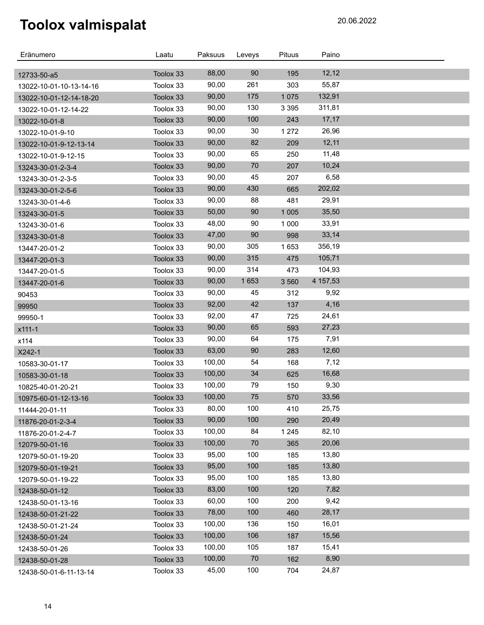| Eränumero                                          | Laatu     | Paksuus | Leveys | <b>Pituus</b> | Paino    |  |
|----------------------------------------------------|-----------|---------|--------|---------------|----------|--|
|                                                    | Toolox 33 | 88,00   | 90     | 195           | 12,12    |  |
| 12733-50-a5                                        | Toolox 33 | 90,00   | 261    | 303           | 55,87    |  |
| 13022-10-01-10-13-14-16<br>13022-10-01-12-14-18-20 | Toolox 33 | 90,00   | 175    | 1 0 7 5       | 132,91   |  |
| 13022-10-01-12-14-22                               | Toolox 33 | 90,00   | 130    | 3 3 9 5       | 311,81   |  |
| 13022-10-01-8                                      | Toolox 33 | 90,00   | 100    | 243           | 17,17    |  |
| 13022-10-01-9-10                                   | Toolox 33 | 90,00   | 30     | 1 2 7 2       | 26,96    |  |
| 13022-10-01-9-12-13-14                             | Toolox 33 | 90,00   | 82     | 209           | 12,11    |  |
| 13022-10-01-9-12-15                                | Toolox 33 | 90,00   | 65     | 250           | 11,48    |  |
| 13243-30-01-2-3-4                                  | Toolox 33 | 90,00   | 70     | 207           | 10,24    |  |
| 13243-30-01-2-3-5                                  | Toolox 33 | 90,00   | 45     | 207           | 6,58     |  |
| 13243-30-01-2-5-6                                  | Toolox 33 | 90,00   | 430    | 665           | 202,02   |  |
| 13243-30-01-4-6                                    | Toolox 33 | 90,00   | 88     | 481           | 29,91    |  |
| 13243-30-01-5                                      | Toolox 33 | 50,00   | 90     | 1 0 0 5       | 35,50    |  |
| 13243-30-01-6                                      | Toolox 33 | 48,00   | 90     | 1 0 0 0       | 33,91    |  |
| 13243-30-01-8                                      | Toolox 33 | 47,00   | 90     | 998           | 33,14    |  |
| 13447-20-01-2                                      | Toolox 33 | 90,00   | 305    | 1653          | 356,19   |  |
| 13447-20-01-3                                      | Toolox 33 | 90,00   | 315    | 475           | 105,71   |  |
| 13447-20-01-5                                      | Toolox 33 | 90,00   | 314    | 473           | 104,93   |  |
| 13447-20-01-6                                      | Toolox 33 | 90,00   | 1653   | 3 5 6 0       | 4 157,53 |  |
| 90453                                              | Toolox 33 | 90,00   | 45     | 312           | 9,92     |  |
| 99950                                              | Toolox 33 | 92,00   | 42     | 137           | 4,16     |  |
| 99950-1                                            | Toolox 33 | 92,00   | 47     | 725           | 24,61    |  |
| x111-1                                             | Toolox 33 | 90,00   | 65     | 593           | 27,23    |  |
| x114                                               | Toolox 33 | 90,00   | 64     | 175           | 7,91     |  |
| X242-1                                             | Toolox 33 | 63,00   | 90     | 283           | 12,60    |  |
| 10583-30-01-17                                     | Toolox 33 | 100,00  | 54     | 168           | 7,12     |  |
| 10583-30-01-18                                     | Toolox 33 | 100,00  | 34     | 625           | 16,68    |  |
| 10825-40-01-20-21                                  | Toolox 33 | 100,00  | 79     | 150           | 9,30     |  |
| 10975-60-01-12-13-16                               | Toolox 33 | 100,00  | 75     | 570           | 33,56    |  |
| 11444-20-01-11                                     | Toolox 33 | 80,00   | 100    | 410           | 25,75    |  |
| 11876-20-01-2-3-4                                  | Toolox 33 | 90,00   | 100    | 290           | 20,49    |  |
| 11876-20-01-2-4-7                                  | Toolox 33 | 100,00  | 84     | 1 2 4 5       | 82,10    |  |
| 12079-50-01-16                                     | Toolox 33 | 100,00  | 70     | 365           | 20,06    |  |
| 12079-50-01-19-20                                  | Toolox 33 | 95,00   | 100    | 185           | 13,80    |  |
| 12079-50-01-19-21                                  | Toolox 33 | 95,00   | 100    | 185           | 13,80    |  |
| 12079-50-01-19-22                                  | Toolox 33 | 95,00   | 100    | 185           | 13,80    |  |
| 12438-50-01-12                                     | Toolox 33 | 83,00   | 100    | 120           | 7,82     |  |
| 12438-50-01-13-16                                  | Toolox 33 | 60,00   | 100    | 200           | 9,42     |  |
| 12438-50-01-21-22                                  | Toolox 33 | 78,00   | 100    | 460           | 28,17    |  |
| 12438-50-01-21-24                                  | Toolox 33 | 100,00  | 136    | 150           | 16,01    |  |
| 12438-50-01-24                                     | Toolox 33 | 100,00  | 106    | 187           | 15,56    |  |
| 12438-50-01-26                                     | Toolox 33 | 100,00  | 105    | 187           | 15,41    |  |
| 12438-50-01-28                                     | Toolox 33 | 100,00  | 70     | 162           | 8,90     |  |
| 12438-50-01-6-11-13-14                             | Toolox 33 | 45,00   | 100    | 704           | 24,87    |  |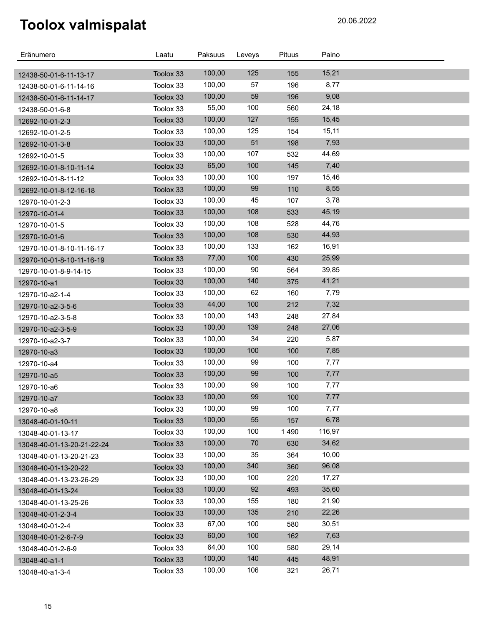| Eränumero                                        | Laatu                  | Paksuus | Leveys | <b>Pituus</b> | Paino  |  |
|--------------------------------------------------|------------------------|---------|--------|---------------|--------|--|
|                                                  |                        | 100,00  | 125    | 155           | 15,21  |  |
| 12438-50-01-6-11-13-17<br>12438-50-01-6-11-14-16 | Toolox 33<br>Toolox 33 | 100,00  | 57     | 196           | 8,77   |  |
|                                                  | Toolox 33              | 100,00  | 59     | 196           | 9,08   |  |
| 12438-50-01-6-11-14-17                           | Toolox 33              | 55,00   | 100    | 560           | 24,18  |  |
| 12438-50-01-6-8                                  | Toolox 33              | 100,00  | 127    | 155           | 15,45  |  |
| 12692-10-01-2-3<br>12692-10-01-2-5               | Toolox 33              | 100,00  | 125    | 154           | 15,11  |  |
| 12692-10-01-3-8                                  | Toolox 33              | 100,00  | 51     | 198           | 7,93   |  |
| 12692-10-01-5                                    | Toolox 33              | 100,00  | 107    | 532           | 44,69  |  |
| 12692-10-01-8-10-11-14                           | Toolox 33              | 65,00   | 100    | 145           | 7,40   |  |
| 12692-10-01-8-11-12                              | Toolox 33              | 100,00  | 100    | 197           | 15,46  |  |
| 12692-10-01-8-12-16-18                           | Toolox 33              | 100,00  | 99     | 110           | 8,55   |  |
| 12970-10-01-2-3                                  | Toolox 33              | 100,00  | 45     | 107           | 3,78   |  |
| 12970-10-01-4                                    | Toolox 33              | 100,00  | 108    | 533           | 45,19  |  |
| 12970-10-01-5                                    | Toolox 33              | 100,00  | 108    | 528           | 44,76  |  |
| 12970-10-01-6                                    | Toolox 33              | 100,00  | 108    | 530           | 44,93  |  |
| 12970-10-01-8-10-11-16-17                        | Toolox 33              | 100,00  | 133    | 162           | 16,91  |  |
| 12970-10-01-8-10-11-16-19                        | Toolox 33              | 77,00   | 100    | 430           | 25,99  |  |
| 12970-10-01-8-9-14-15                            | Toolox 33              | 100,00  | 90     | 564           | 39,85  |  |
| 12970-10-a1                                      | Toolox 33              | 100,00  | 140    | 375           | 41,21  |  |
| 12970-10-a2-1-4                                  | Toolox 33              | 100,00  | 62     | 160           | 7,79   |  |
| 12970-10-a2-3-5-6                                | Toolox 33              | 44,00   | 100    | 212           | 7,32   |  |
| 12970-10-a2-3-5-8                                | Toolox 33              | 100,00  | 143    | 248           | 27,84  |  |
| 12970-10-a2-3-5-9                                | Toolox 33              | 100,00  | 139    | 248           | 27,06  |  |
| 12970-10-a2-3-7                                  | Toolox 33              | 100,00  | 34     | 220           | 5,87   |  |
| 12970-10-a3                                      | Toolox 33              | 100,00  | 100    | 100           | 7,85   |  |
| 12970-10-a4                                      | Toolox 33              | 100,00  | 99     | 100           | 7,77   |  |
| 12970-10-a5                                      | Toolox 33              | 100,00  | 99     | 100           | 7,77   |  |
| 12970-10-a6                                      | Toolox 33              | 100,00  | 99     | 100           | 7,77   |  |
| 12970-10-a7                                      | Toolox 33              | 100,00  | 99     | 100           | 7,77   |  |
| 12970-10-a8                                      | Toolox 33              | 100,00  | 99     | 100           | 7,77   |  |
| 13048-40-01-10-11                                | Toolox 33              | 100,00  | 55     | 157           | 6,78   |  |
| 13048-40-01-13-17                                | Toolox 33              | 100,00  | 100    | 1490          | 116,97 |  |
| 13048-40-01-13-20-21-22-24                       | Toolox 33              | 100,00  | 70     | 630           | 34,62  |  |
| 13048-40-01-13-20-21-23                          | Toolox 33              | 100,00  | 35     | 364           | 10,00  |  |
| 13048-40-01-13-20-22                             | Toolox 33              | 100,00  | 340    | 360           | 96,08  |  |
| 13048-40-01-13-23-26-29                          | Toolox 33              | 100,00  | 100    | 220           | 17,27  |  |
| 13048-40-01-13-24                                | Toolox 33              | 100,00  | 92     | 493           | 35,60  |  |
| 13048-40-01-13-25-26                             | Toolox 33              | 100,00  | 155    | 180           | 21,90  |  |
| 13048-40-01-2-3-4                                | Toolox 33              | 100,00  | 135    | 210           | 22,26  |  |
| 13048-40-01-2-4                                  | Toolox 33              | 67,00   | 100    | 580           | 30,51  |  |
| 13048-40-01-2-6-7-9                              | Toolox 33              | 60,00   | 100    | 162           | 7,63   |  |
| 13048-40-01-2-6-9                                | Toolox 33              | 64,00   | 100    | 580           | 29,14  |  |
| 13048-40-a1-1                                    | Toolox 33              | 100,00  | 140    | 445           | 48,91  |  |
| 13048-40-a1-3-4                                  | Toolox 33              | 100,00  | 106    | 321           | 26,71  |  |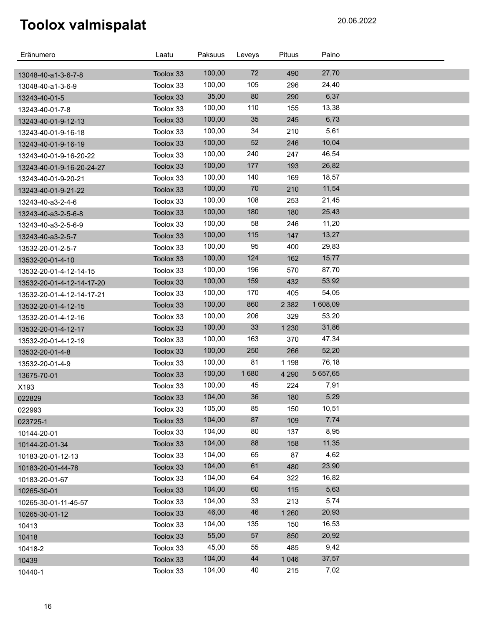| Eränumero                                  | Laatu                  | Paksuus | Leveys | Pituus  | Paino    |  |
|--------------------------------------------|------------------------|---------|--------|---------|----------|--|
|                                            |                        | 100,00  | 72     | 490     | 27,70    |  |
| 13048-40-a1-3-6-7-8                        | Toolox 33<br>Toolox 33 | 100,00  | 105    | 296     | 24,40    |  |
| 13048-40-a1-3-6-9                          | Toolox 33              | 35,00   | 80     | 290     | 6,37     |  |
| 13243-40-01-5                              | Toolox 33              | 100,00  | 110    | 155     | 13,38    |  |
| 13243-40-01-7-8                            | Toolox 33              | 100,00  | 35     | 245     | 6,73     |  |
| 13243-40-01-9-12-13                        | Toolox 33              | 100,00  | 34     | 210     | 5,61     |  |
| 13243-40-01-9-16-18                        | Toolox 33              | 100,00  | 52     | 246     | 10,04    |  |
| 13243-40-01-9-16-19                        | Toolox 33              | 100,00  | 240    | 247     | 46,54    |  |
| 13243-40-01-9-16-20-22                     | Toolox 33              | 100,00  | 177    | 193     | 26,82    |  |
| 13243-40-01-9-16-20-24-27                  | Toolox 33              | 100,00  | 140    | 169     | 18,57    |  |
| 13243-40-01-9-20-21                        | Toolox 33              | 100,00  | 70     | 210     | 11,54    |  |
| 13243-40-01-9-21-22                        | Toolox 33              | 100,00  | 108    | 253     | 21,45    |  |
| 13243-40-a3-2-4-6                          | Toolox 33              | 100,00  | 180    | 180     | 25,43    |  |
| 13243-40-a3-2-5-6-8<br>13243-40-a3-2-5-6-9 | Toolox 33              | 100,00  | 58     | 246     | 11,20    |  |
| 13243-40-a3-2-5-7                          | Toolox 33              | 100,00  | 115    | 147     | 13,27    |  |
| 13532-20-01-2-5-7                          | Toolox 33              | 100,00  | 95     | 400     | 29,83    |  |
| 13532-20-01-4-10                           | Toolox 33              | 100,00  | 124    | 162     | 15,77    |  |
| 13532-20-01-4-12-14-15                     | Toolox 33              | 100,00  | 196    | 570     | 87,70    |  |
| 13532-20-01-4-12-14-17-20                  | Toolox 33              | 100,00  | 159    | 432     | 53,92    |  |
| 13532-20-01-4-12-14-17-21                  | Toolox 33              | 100,00  | 170    | 405     | 54,05    |  |
| 13532-20-01-4-12-15                        | Toolox 33              | 100,00  | 860    | 2 3 8 2 | 1 608,09 |  |
| 13532-20-01-4-12-16                        | Toolox 33              | 100,00  | 206    | 329     | 53,20    |  |
| 13532-20-01-4-12-17                        | Toolox 33              | 100,00  | 33     | 1 2 3 0 | 31,86    |  |
| 13532-20-01-4-12-19                        | Toolox 33              | 100,00  | 163    | 370     | 47,34    |  |
| 13532-20-01-4-8                            | Toolox 33              | 100,00  | 250    | 266     | 52,20    |  |
| 13532-20-01-4-9                            | Toolox 33              | 100,00  | 81     | 1 1 9 8 | 76,18    |  |
| 13675-70-01                                | Toolox 33              | 100,00  | 1680   | 4 2 9 0 | 5 657,65 |  |
| X193                                       | Toolox 33              | 100,00  | 45     | 224     | 7,91     |  |
| 022829                                     | Toolox 33              | 104,00  | 36     | 180     | 5,29     |  |
| 022993                                     | Toolox 33              | 105,00  | 85     | 150     | 10,51    |  |
| 023725-1                                   | Toolox 33              | 104,00  | 87     | 109     | 7,74     |  |
| 10144-20-01                                | Toolox 33              | 104,00  | 80     | 137     | 8,95     |  |
| 10144-20-01-34                             | Toolox 33              | 104,00  | 88     | 158     | 11,35    |  |
| 10183-20-01-12-13                          | Toolox 33              | 104,00  | 65     | 87      | 4,62     |  |
| 10183-20-01-44-78                          | Toolox 33              | 104,00  | 61     | 480     | 23,90    |  |
| 10183-20-01-67                             | Toolox 33              | 104,00  | 64     | 322     | 16,82    |  |
| 10265-30-01                                | Toolox 33              | 104,00  | 60     | 115     | 5,63     |  |
| 10265-30-01-11-45-57                       | Toolox 33              | 104,00  | 33     | 213     | 5,74     |  |
| 10265-30-01-12                             | Toolox 33              | 46,00   | 46     | 1 2 6 0 | 20,93    |  |
| 10413                                      | Toolox 33              | 104,00  | 135    | 150     | 16,53    |  |
| 10418                                      | Toolox 33              | 55,00   | 57     | 850     | 20,92    |  |
| 10418-2                                    | Toolox 33              | 45,00   | 55     | 485     | 9,42     |  |
| 10439                                      | Toolox 33              | 104,00  | 44     | 1 0 4 6 | 37,57    |  |
| 10440-1                                    | Toolox 33              | 104,00  | 40     | 215     | 7,02     |  |
|                                            |                        |         |        |         |          |  |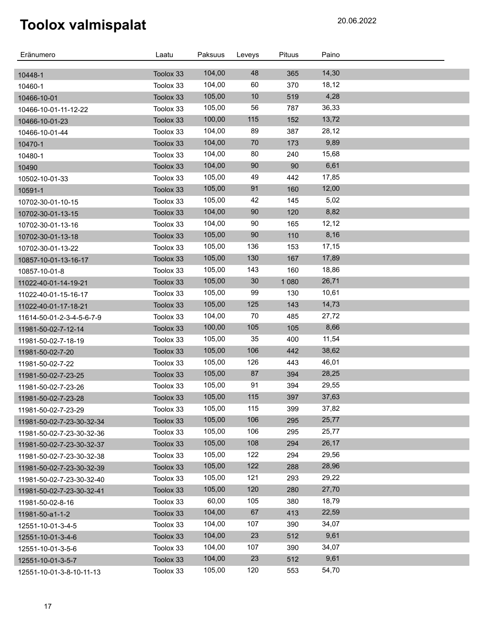| Eränumero                 | Laatu     | Paksuus | Leveys | <b>Pituus</b> | Paino |  |
|---------------------------|-----------|---------|--------|---------------|-------|--|
| 10448-1                   | Toolox 33 | 104,00  | 48     | 365           | 14,30 |  |
| 10460-1                   | Toolox 33 | 104,00  | 60     | 370           | 18,12 |  |
| 10466-10-01               | Toolox 33 | 105,00  | 10     | 519           | 4,28  |  |
| 10466-10-01-11-12-22      | Toolox 33 | 105,00  | 56     | 787           | 36,33 |  |
| 10466-10-01-23            | Toolox 33 | 100,00  | 115    | 152           | 13,72 |  |
| 10466-10-01-44            | Toolox 33 | 104,00  | 89     | 387           | 28,12 |  |
| 10470-1                   | Toolox 33 | 104,00  | 70     | 173           | 9,89  |  |
| 10480-1                   | Toolox 33 | 104,00  | 80     | 240           | 15,68 |  |
| 10490                     | Toolox 33 | 104,00  | 90     | 90            | 6,61  |  |
| 10502-10-01-33            | Toolox 33 | 105,00  | 49     | 442           | 17,85 |  |
| 10591-1                   | Toolox 33 | 105,00  | 91     | 160           | 12,00 |  |
| 10702-30-01-10-15         | Toolox 33 | 105,00  | 42     | 145           | 5,02  |  |
| 10702-30-01-13-15         | Toolox 33 | 104,00  | 90     | 120           | 8,82  |  |
| 10702-30-01-13-16         | Toolox 33 | 104,00  | 90     | 165           | 12,12 |  |
| 10702-30-01-13-18         | Toolox 33 | 105,00  | 90     | 110           | 8,16  |  |
| 10702-30-01-13-22         | Toolox 33 | 105,00  | 136    | 153           | 17,15 |  |
| 10857-10-01-13-16-17      | Toolox 33 | 105,00  | 130    | 167           | 17,89 |  |
| 10857-10-01-8             | Toolox 33 | 105,00  | 143    | 160           | 18,86 |  |
| 11022-40-01-14-19-21      | Toolox 33 | 105,00  | 30     | 1 0 8 0       | 26,71 |  |
| 11022-40-01-15-16-17      | Toolox 33 | 105,00  | 99     | 130           | 10,61 |  |
| 11022-40-01-17-18-21      | Toolox 33 | 105,00  | 125    | 143           | 14,73 |  |
| 11614-50-01-2-3-4-5-6-7-9 | Toolox 33 | 104,00  | 70     | 485           | 27,72 |  |
| 11981-50-02-7-12-14       | Toolox 33 | 100,00  | 105    | 105           | 8,66  |  |
| 11981-50-02-7-18-19       | Toolox 33 | 105,00  | 35     | 400           | 11,54 |  |
| 11981-50-02-7-20          | Toolox 33 | 105,00  | 106    | 442           | 38,62 |  |
| 11981-50-02-7-22          | Toolox 33 | 105,00  | 126    | 443           | 46,01 |  |
| 11981-50-02-7-23-25       | Toolox 33 | 105,00  | 87     | 394           | 28,25 |  |
| 11981-50-02-7-23-26       | Toolox 33 | 105,00  | 91     | 394           | 29,55 |  |
| 11981-50-02-7-23-28       | Toolox 33 | 105,00  | 115    | 397           | 37,63 |  |
| 11981-50-02-7-23-29       | Toolox 33 | 105,00  | 115    | 399           | 37,82 |  |
| 11981-50-02-7-23-30-32-34 | Toolox 33 | 105,00  | 106    | 295           | 25,77 |  |
| 11981-50-02-7-23-30-32-36 | Toolox 33 | 105,00  | 106    | 295           | 25,77 |  |
| 11981-50-02-7-23-30-32-37 | Toolox 33 | 105,00  | 108    | 294           | 26,17 |  |
| 11981-50-02-7-23-30-32-38 | Toolox 33 | 105,00  | 122    | 294           | 29,56 |  |
| 11981-50-02-7-23-30-32-39 | Toolox 33 | 105,00  | 122    | 288           | 28,96 |  |
| 11981-50-02-7-23-30-32-40 | Toolox 33 | 105,00  | 121    | 293           | 29,22 |  |
| 11981-50-02-7-23-30-32-41 | Toolox 33 | 105,00  | 120    | 280           | 27,70 |  |
| 11981-50-02-8-16          | Toolox 33 | 60,00   | 105    | 380           | 18,79 |  |
| 11981-50-a1-1-2           | Toolox 33 | 104,00  | 67     | 413           | 22,59 |  |
| 12551-10-01-3-4-5         | Toolox 33 | 104,00  | 107    | 390           | 34,07 |  |
| 12551-10-01-3-4-6         | Toolox 33 | 104,00  | 23     | 512           | 9,61  |  |
| 12551-10-01-3-5-6         | Toolox 33 | 104,00  | 107    | 390           | 34,07 |  |
| 12551-10-01-3-5-7         | Toolox 33 | 104,00  | 23     | 512           | 9,61  |  |
| 12551-10-01-3-8-10-11-13  | Toolox 33 | 105,00  | 120    | 553           | 54,70 |  |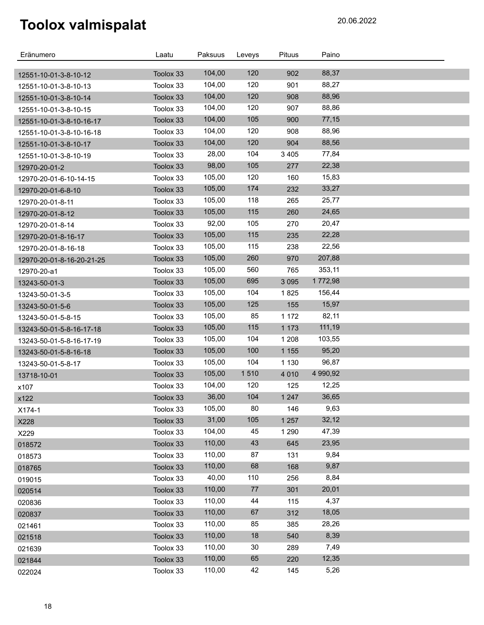| Eränumero                 | Laatu     | Paksuus | Leveys | <b>Pituus</b> | Paino    |  |
|---------------------------|-----------|---------|--------|---------------|----------|--|
| 12551-10-01-3-8-10-12     | Toolox 33 | 104,00  | 120    | 902           | 88,37    |  |
| 12551-10-01-3-8-10-13     | Toolox 33 | 104,00  | 120    | 901           | 88,27    |  |
| 12551-10-01-3-8-10-14     | Toolox 33 | 104,00  | 120    | 908           | 88,96    |  |
| 12551-10-01-3-8-10-15     | Toolox 33 | 104,00  | 120    | 907           | 88,86    |  |
| 12551-10-01-3-8-10-16-17  | Toolox 33 | 104,00  | 105    | 900           | 77,15    |  |
| 12551-10-01-3-8-10-16-18  | Toolox 33 | 104,00  | 120    | 908           | 88,96    |  |
| 12551-10-01-3-8-10-17     | Toolox 33 | 104,00  | 120    | 904           | 88,56    |  |
| 12551-10-01-3-8-10-19     | Toolox 33 | 28,00   | 104    | 3 4 0 5       | 77,84    |  |
| 12970-20-01-2             | Toolox 33 | 98,00   | 105    | 277           | 22,38    |  |
| 12970-20-01-6-10-14-15    | Toolox 33 | 105,00  | 120    | 160           | 15,83    |  |
| 12970-20-01-6-8-10        | Toolox 33 | 105,00  | 174    | 232           | 33,27    |  |
| 12970-20-01-8-11          | Toolox 33 | 105,00  | 118    | 265           | 25,77    |  |
| 12970-20-01-8-12          | Toolox 33 | 105,00  | 115    | 260           | 24,65    |  |
| 12970-20-01-8-14          | Toolox 33 | 92,00   | 105    | 270           | 20,47    |  |
| 12970-20-01-8-16-17       | Toolox 33 | 105,00  | 115    | 235           | 22,28    |  |
| 12970-20-01-8-16-18       | Toolox 33 | 105,00  | 115    | 238           | 22,56    |  |
| 12970-20-01-8-16-20-21-25 | Toolox 33 | 105,00  | 260    | 970           | 207,88   |  |
| 12970-20-a1               | Toolox 33 | 105,00  | 560    | 765           | 353,11   |  |
| 13243-50-01-3             | Toolox 33 | 105,00  | 695    | 3 0 9 5       | 1772,98  |  |
| 13243-50-01-3-5           | Toolox 33 | 105,00  | 104    | 1825          | 156,44   |  |
| 13243-50-01-5-6           | Toolox 33 | 105,00  | 125    | 155           | 15,97    |  |
| 13243-50-01-5-8-15        | Toolox 33 | 105,00  | 85     | 1 1 7 2       | 82,11    |  |
| 13243-50-01-5-8-16-17-18  | Toolox 33 | 105,00  | 115    | 1 1 7 3       | 111,19   |  |
| 13243-50-01-5-8-16-17-19  | Toolox 33 | 105,00  | 104    | 1 2 0 8       | 103,55   |  |
| 13243-50-01-5-8-16-18     | Toolox 33 | 105,00  | 100    | 1 1 5 5       | 95,20    |  |
| 13243-50-01-5-8-17        | Toolox 33 | 105,00  | 104    | 1 1 3 0       | 96,87    |  |
| 13718-10-01               | Toolox 33 | 105,00  | 1510   | 4 0 1 0       | 4 990,92 |  |
| x107                      | Toolox 33 | 104,00  | 120    | 125           | 12,25    |  |
| x122                      | Toolox 33 | 36,00   | 104    | 1 2 4 7       | 36,65    |  |
| X174-1                    | Toolox 33 | 105,00  | 80     | 146           | 9,63     |  |
| X228                      | Toolox 33 | 31,00   | 105    | 1 2 5 7       | 32,12    |  |
| X229                      | Toolox 33 | 104,00  | 45     | 1 2 9 0       | 47,39    |  |
| 018572                    | Toolox 33 | 110,00  | 43     | 645           | 23,95    |  |
| 018573                    | Toolox 33 | 110,00  | 87     | 131           | 9,84     |  |
| 018765                    | Toolox 33 | 110,00  | 68     | 168           | 9,87     |  |
| 019015                    | Toolox 33 | 40,00   | 110    | 256           | 8,84     |  |
| 020514                    | Toolox 33 | 110,00  | 77     | 301           | 20,01    |  |
| 020836                    | Toolox 33 | 110,00  | 44     | 115           | 4,37     |  |
| 020837                    | Toolox 33 | 110,00  | 67     | 312           | 18,05    |  |
| 021461                    | Toolox 33 | 110,00  | 85     | 385           | 28,26    |  |
| 021518                    | Toolox 33 | 110,00  | 18     | 540           | 8,39     |  |
| 021639                    | Toolox 33 | 110,00  | 30     | 289           | 7,49     |  |
| 021844                    | Toolox 33 | 110,00  | 65     | 220           | 12,35    |  |
| 022024                    | Toolox 33 | 110,00  | 42     | 145           | 5,26     |  |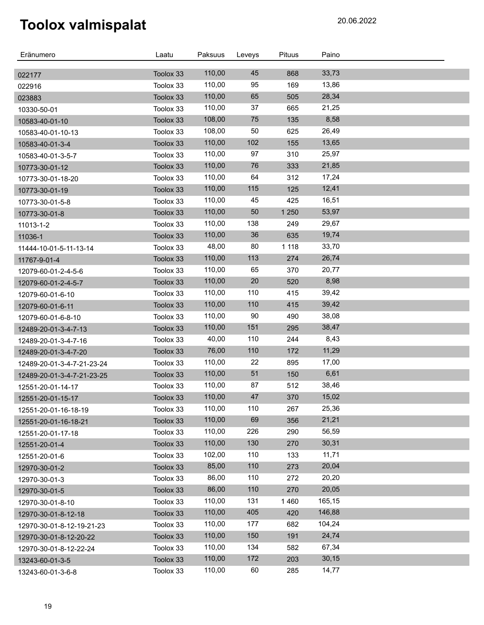| Eränumero                  | Laatu     | Paksuus | Leveys | Pituus  | Paino  |  |
|----------------------------|-----------|---------|--------|---------|--------|--|
| 022177                     | Toolox 33 | 110,00  | 45     | 868     | 33,73  |  |
| 022916                     | Toolox 33 | 110,00  | 95     | 169     | 13,86  |  |
| 023883                     | Toolox 33 | 110,00  | 65     | 505     | 28,34  |  |
| 10330-50-01                | Toolox 33 | 110,00  | 37     | 665     | 21,25  |  |
| 10583-40-01-10             | Toolox 33 | 108,00  | 75     | 135     | 8,58   |  |
| 10583-40-01-10-13          | Toolox 33 | 108,00  | 50     | 625     | 26,49  |  |
| 10583-40-01-3-4            | Toolox 33 | 110,00  | 102    | 155     | 13,65  |  |
| 10583-40-01-3-5-7          | Toolox 33 | 110,00  | 97     | 310     | 25,97  |  |
| 10773-30-01-12             | Toolox 33 | 110,00  | 76     | 333     | 21,85  |  |
| 10773-30-01-18-20          | Toolox 33 | 110,00  | 64     | 312     | 17,24  |  |
| 10773-30-01-19             | Toolox 33 | 110,00  | 115    | 125     | 12,41  |  |
| 10773-30-01-5-8            | Toolox 33 | 110,00  | 45     | 425     | 16,51  |  |
| 10773-30-01-8              | Toolox 33 | 110,00  | 50     | 1 2 5 0 | 53,97  |  |
| 11013-1-2                  | Toolox 33 | 110,00  | 138    | 249     | 29,67  |  |
| 11036-1                    | Toolox 33 | 110,00  | 36     | 635     | 19,74  |  |
| 11444-10-01-5-11-13-14     | Toolox 33 | 48,00   | 80     | 1 1 1 8 | 33,70  |  |
| 11767-9-01-4               | Toolox 33 | 110,00  | 113    | 274     | 26,74  |  |
| 12079-60-01-2-4-5-6        | Toolox 33 | 110,00  | 65     | 370     | 20,77  |  |
| 12079-60-01-2-4-5-7        | Toolox 33 | 110,00  | 20     | 520     | 8,98   |  |
| 12079-60-01-6-10           | Toolox 33 | 110,00  | 110    | 415     | 39,42  |  |
| 12079-60-01-6-11           | Toolox 33 | 110,00  | 110    | 415     | 39,42  |  |
| 12079-60-01-6-8-10         | Toolox 33 | 110,00  | 90     | 490     | 38,08  |  |
| 12489-20-01-3-4-7-13       | Toolox 33 | 110,00  | 151    | 295     | 38,47  |  |
| 12489-20-01-3-4-7-16       | Toolox 33 | 40,00   | 110    | 244     | 8,43   |  |
| 12489-20-01-3-4-7-20       | Toolox 33 | 76,00   | 110    | 172     | 11,29  |  |
| 12489-20-01-3-4-7-21-23-24 | Toolox 33 | 110,00  | 22     | 895     | 17,00  |  |
| 12489-20-01-3-4-7-21-23-25 | Toolox 33 | 110,00  | 51     | 150     | 6,61   |  |
| 12551-20-01-14-17          | Toolox 33 | 110,00  | 87     | 512     | 38,46  |  |
| 12551-20-01-15-17          | Toolox 33 | 110,00  | 47     | 370     | 15,02  |  |
| 12551-20-01-16-18-19       | Toolox 33 | 110,00  | 110    | 267     | 25,36  |  |
| 12551-20-01-16-18-21       | Toolox 33 | 110,00  | 69     | 356     | 21,21  |  |
| 12551-20-01-17-18          | Toolox 33 | 110,00  | 226    | 290     | 56,59  |  |
| 12551-20-01-4              | Toolox 33 | 110,00  | 130    | 270     | 30,31  |  |
| 12551-20-01-6              | Toolox 33 | 102,00  | 110    | 133     | 11,71  |  |
| 12970-30-01-2              | Toolox 33 | 85,00   | 110    | 273     | 20,04  |  |
| 12970-30-01-3              | Toolox 33 | 86,00   | 110    | 272     | 20,20  |  |
| 12970-30-01-5              | Toolox 33 | 86,00   | 110    | 270     | 20,05  |  |
| 12970-30-01-8-10           | Toolox 33 | 110,00  | 131    | 1460    | 165,15 |  |
| 12970-30-01-8-12-18        | Toolox 33 | 110,00  | 405    | 420     | 146,88 |  |
| 12970-30-01-8-12-19-21-23  | Toolox 33 | 110,00  | 177    | 682     | 104,24 |  |
| 12970-30-01-8-12-20-22     | Toolox 33 | 110,00  | 150    | 191     | 24,74  |  |
| 12970-30-01-8-12-22-24     | Toolox 33 | 110,00  | 134    | 582     | 67,34  |  |
| 13243-60-01-3-5            | Toolox 33 | 110,00  | 172    | 203     | 30,15  |  |
| 13243-60-01-3-6-8          | Toolox 33 | 110,00  | 60     | 285     | 14,77  |  |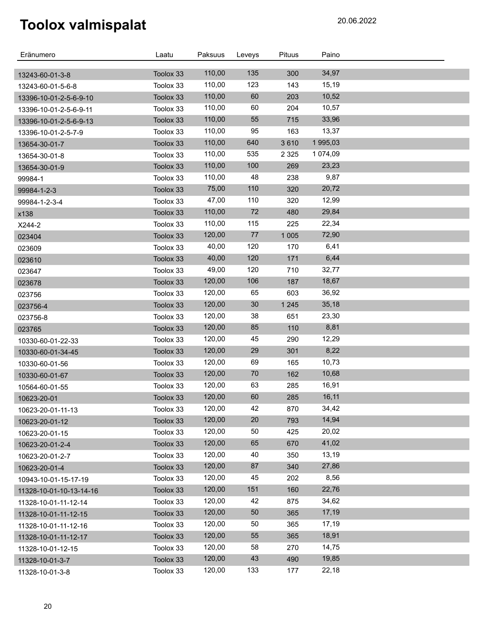| Eränumero                                     | Laatu     | Paksuus | Leveys | Pituus  | Paino    |  |
|-----------------------------------------------|-----------|---------|--------|---------|----------|--|
|                                               | Toolox 33 | 110,00  | 135    | 300     | 34,97    |  |
| 13243-60-01-3-8<br>13243-60-01-5-6-8          | Toolox 33 | 110,00  | 123    | 143     | 15,19    |  |
|                                               | Toolox 33 | 110,00  | 60     | 203     | 10,52    |  |
| 13396-10-01-2-5-6-9-10                        | Toolox 33 | 110,00  | 60     | 204     | 10,57    |  |
| 13396-10-01-2-5-6-9-11                        | Toolox 33 | 110,00  | 55     | 715     | 33,96    |  |
| 13396-10-01-2-5-6-9-13<br>13396-10-01-2-5-7-9 | Toolox 33 | 110,00  | 95     | 163     | 13,37    |  |
| 13654-30-01-7                                 | Toolox 33 | 110,00  | 640    | 3610    | 1 995,03 |  |
| 13654-30-01-8                                 | Toolox 33 | 110,00  | 535    | 2 3 2 5 | 1 074,09 |  |
| 13654-30-01-9                                 | Toolox 33 | 110,00  | 100    | 269     | 23,23    |  |
| 99984-1                                       | Toolox 33 | 110,00  | 48     | 238     | 9,87     |  |
| 99984-1-2-3                                   | Toolox 33 | 75,00   | 110    | 320     | 20,72    |  |
| 99984-1-2-3-4                                 | Toolox 33 | 47,00   | 110    | 320     | 12,99    |  |
| x138                                          | Toolox 33 | 110,00  | 72     | 480     | 29,84    |  |
| X244-2                                        | Toolox 33 | 110,00  | 115    | 225     | 22,34    |  |
| 023404                                        | Toolox 33 | 120,00  | $77$   | 1 0 0 5 | 72,90    |  |
| 023609                                        | Toolox 33 | 40,00   | 120    | 170     | 6,41     |  |
| 023610                                        | Toolox 33 | 40,00   | 120    | 171     | 6,44     |  |
| 023647                                        | Toolox 33 | 49,00   | 120    | 710     | 32,77    |  |
| 023678                                        | Toolox 33 | 120,00  | 106    | 187     | 18,67    |  |
| 023756                                        | Toolox 33 | 120,00  | 65     | 603     | 36,92    |  |
| 023756-4                                      | Toolox 33 | 120,00  | 30     | 1 2 4 5 | 35,18    |  |
| 023756-8                                      | Toolox 33 | 120,00  | 38     | 651     | 23,30    |  |
| 023765                                        | Toolox 33 | 120,00  | 85     | 110     | 8,81     |  |
| 10330-60-01-22-33                             | Toolox 33 | 120,00  | 45     | 290     | 12,29    |  |
| 10330-60-01-34-45                             | Toolox 33 | 120,00  | 29     | 301     | 8,22     |  |
| 10330-60-01-56                                | Toolox 33 | 120,00  | 69     | 165     | 10,73    |  |
| 10330-60-01-67                                | Toolox 33 | 120,00  | $70\,$ | 162     | 10,68    |  |
| 10564-60-01-55                                | Toolox 33 | 120,00  | 63     | 285     | 16,91    |  |
| 10623-20-01                                   | Toolox 33 | 120,00  | 60     | 285     | 16,11    |  |
| 10623-20-01-11-13                             | Toolox 33 | 120,00  | 42     | 870     | 34,42    |  |
| 10623-20-01-12                                | Toolox 33 | 120,00  | 20     | 793     | 14,94    |  |
| 10623-20-01-15                                | Toolox 33 | 120,00  | 50     | 425     | 20,02    |  |
| 10623-20-01-2-4                               | Toolox 33 | 120,00  | 65     | 670     | 41,02    |  |
| 10623-20-01-2-7                               | Toolox 33 | 120,00  | 40     | 350     | 13,19    |  |
| 10623-20-01-4                                 | Toolox 33 | 120,00  | 87     | 340     | 27,86    |  |
| 10943-10-01-15-17-19                          | Toolox 33 | 120,00  | 45     | 202     | 8,56     |  |
| 11328-10-01-10-13-14-16                       | Toolox 33 | 120,00  | 151    | 160     | 22,76    |  |
| 11328-10-01-11-12-14                          | Toolox 33 | 120,00  | 42     | 875     | 34,62    |  |
| 11328-10-01-11-12-15                          | Toolox 33 | 120,00  | 50     | 365     | 17,19    |  |
| 11328-10-01-11-12-16                          | Toolox 33 | 120,00  | 50     | 365     | 17,19    |  |
| 11328-10-01-11-12-17                          | Toolox 33 | 120,00  | 55     | 365     | 18,91    |  |
| 11328-10-01-12-15                             | Toolox 33 | 120,00  | 58     | 270     | 14,75    |  |
| 11328-10-01-3-7                               | Toolox 33 | 120,00  | 43     | 490     | 19,85    |  |
| 11328-10-01-3-8                               | Toolox 33 | 120,00  | 133    | 177     | 22,18    |  |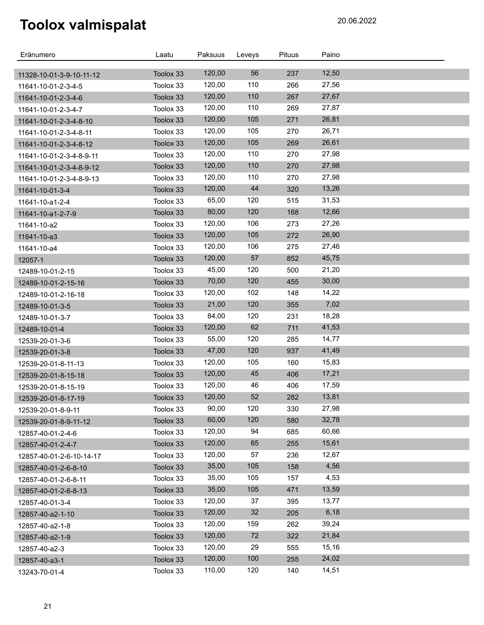| Eränumero                | Laatu     | Paksuus | Leveys | Pituus | Paino |  |
|--------------------------|-----------|---------|--------|--------|-------|--|
|                          |           |         |        |        |       |  |
| 11328-10-01-3-9-10-11-12 | Toolox 33 | 120,00  | 56     | 237    | 12,50 |  |
| 11641-10-01-2-3-4-5      | Toolox 33 | 120,00  | 110    | 266    | 27,56 |  |
| 11641-10-01-2-3-4-6      | Toolox 33 | 120,00  | 110    | 267    | 27,67 |  |
| 11641-10-01-2-3-4-7      | Toolox 33 | 120,00  | 110    | 269    | 27,87 |  |
| 11641-10-01-2-3-4-8-10   | Toolox 33 | 120,00  | 105    | 271    | 26,81 |  |
| 11641-10-01-2-3-4-8-11   | Toolox 33 | 120,00  | 105    | 270    | 26,71 |  |
| 11641-10-01-2-3-4-8-12   | Toolox 33 | 120,00  | 105    | 269    | 26,61 |  |
| 11641-10-01-2-3-4-8-9-11 | Toolox 33 | 120,00  | 110    | 270    | 27,98 |  |
| 11641-10-01-2-3-4-8-9-12 | Toolox 33 | 120,00  | 110    | 270    | 27,98 |  |
| 11641-10-01-2-3-4-8-9-13 | Toolox 33 | 120,00  | 110    | 270    | 27,98 |  |
| 11641-10-01-3-4          | Toolox 33 | 120,00  | 44     | 320    | 13,26 |  |
| 11641-10-a1-2-4          | Toolox 33 | 65,00   | 120    | 515    | 31,53 |  |
| 11641-10-a1-2-7-9        | Toolox 33 | 80,00   | 120    | 168    | 12,66 |  |
| 11641-10-a2              | Toolox 33 | 120,00  | 106    | 273    | 27,26 |  |
| 11641-10-a3              | Toolox 33 | 120,00  | 105    | 272    | 26,90 |  |
| 11641-10-a4              | Toolox 33 | 120,00  | 106    | 275    | 27,46 |  |
| 12057-1                  | Toolox 33 | 120,00  | 57     | 852    | 45,75 |  |
| 12489-10-01-2-15         | Toolox 33 | 45,00   | 120    | 500    | 21,20 |  |
| 12489-10-01-2-15-16      | Toolox 33 | 70,00   | 120    | 455    | 30,00 |  |
| 12489-10-01-2-16-18      | Toolox 33 | 120,00  | 102    | 148    | 14,22 |  |
| 12489-10-01-3-5          | Toolox 33 | 21,00   | 120    | 355    | 7,02  |  |
| 12489-10-01-3-7          | Toolox 33 | 84,00   | 120    | 231    | 18,28 |  |
| 12489-10-01-4            | Toolox 33 | 120,00  | 62     | 711    | 41,53 |  |
| 12539-20-01-3-6          | Toolox 33 | 55,00   | 120    | 285    | 14,77 |  |
| 12539-20-01-3-8          | Toolox 33 | 47,00   | 120    | 937    | 41,49 |  |
| 12539-20-01-8-11-13      | Toolox 33 | 120,00  | 105    | 160    | 15,83 |  |
| 12539-20-01-8-15-18      | Toolox 33 | 120,00  | 45     | 406    | 17,21 |  |
| 12539-20-01-8-15-19      | Toolox 33 | 120,00  | 46     | 406    | 17,59 |  |
| 12539-20-01-8-17-19      | Toolox 33 | 120,00  | 52     | 282    | 13,81 |  |
| 12539-20-01-8-9-11       | Toolox 33 | 90,00   | 120    | 330    | 27,98 |  |
| 12539-20-01-8-9-11-12    | Toolox 33 | 60,00   | 120    | 580    | 32,78 |  |
| 12857-40-01-2-4-6        | Toolox 33 | 120,00  | 94     | 685    | 60,66 |  |
| 12857-40-01-2-4-7        | Toolox 33 | 120,00  | 65     | 255    | 15,61 |  |
| 12857-40-01-2-6-10-14-17 | Toolox 33 | 120,00  | 57     | 236    | 12,67 |  |
| 12857-40-01-2-6-8-10     | Toolox 33 | 35,00   | 105    | 158    | 4,56  |  |
| 12857-40-01-2-6-8-11     | Toolox 33 | 35,00   | 105    | 157    | 4,53  |  |
| 12857-40-01-2-6-8-13     | Toolox 33 | 35,00   | 105    | 471    | 13,59 |  |
| 12857-40-01-3-4          | Toolox 33 | 120,00  | 37     | 395    | 13,77 |  |
| 12857-40-a2-1-10         | Toolox 33 | 120,00  | 32     | 205    | 6,18  |  |
| 12857-40-a2-1-8          | Toolox 33 | 120,00  | 159    | 262    | 39,24 |  |
| 12857-40-a2-1-9          | Toolox 33 | 120,00  | 72     | 322    | 21,84 |  |
| 12857-40-a2-3            | Toolox 33 | 120,00  | 29     | 555    | 15,16 |  |
| 12857-40-a3-1            | Toolox 33 | 120,00  | 100    | 255    | 24,02 |  |
| 13243-70-01-4            | Toolox 33 | 110,00  | 120    | 140    | 14,51 |  |
|                          |           |         |        |        |       |  |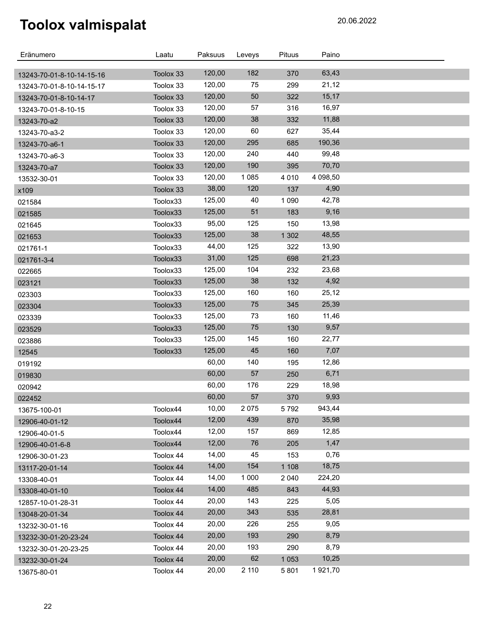| Eränumero                 | Laatu     | Paksuus | Leveys  | <b>Pituus</b> | Paino          |  |
|---------------------------|-----------|---------|---------|---------------|----------------|--|
|                           |           | 120,00  | 182     |               |                |  |
| 13243-70-01-8-10-14-15-16 | Toolox 33 | 120,00  | 75      | 370<br>299    | 63,43<br>21,12 |  |
| 13243-70-01-8-10-14-15-17 | Toolox 33 | 120,00  | 50      | 322           | 15,17          |  |
| 13243-70-01-8-10-14-17    | Toolox 33 |         |         |               |                |  |
| 13243-70-01-8-10-15       | Toolox 33 | 120,00  | 57      | 316           | 16,97          |  |
| 13243-70-a2               | Toolox 33 | 120,00  | 38      | 332           | 11,88          |  |
| 13243-70-a3-2             | Toolox 33 | 120,00  | 60      | 627           | 35,44          |  |
| 13243-70-a6-1             | Toolox 33 | 120,00  | 295     | 685           | 190,36         |  |
| 13243-70-a6-3             | Toolox 33 | 120,00  | 240     | 440           | 99,48          |  |
| 13243-70-a7               | Toolox 33 | 120,00  | 190     | 395           | 70,70          |  |
| 13532-30-01               | Toolox 33 | 120,00  | 1 0 8 5 | 4 0 1 0       | 4 098,50       |  |
| x109                      | Toolox 33 | 38,00   | 120     | 137           | 4,90           |  |
| 021584                    | Toolox33  | 125,00  | 40      | 1 0 9 0       | 42,78          |  |
| 021585                    | Toolox33  | 125,00  | 51      | 183           | 9,16           |  |
| 021645                    | Toolox33  | 95,00   | 125     | 150           | 13,98          |  |
| 021653                    | Toolox33  | 125,00  | 38      | 1 3 0 2       | 48,55          |  |
| 021761-1                  | Toolox33  | 44,00   | 125     | 322           | 13,90          |  |
| 021761-3-4                | Toolox33  | 31,00   | 125     | 698           | 21,23          |  |
| 022665                    | Toolox33  | 125,00  | 104     | 232           | 23,68          |  |
| 023121                    | Toolox33  | 125,00  | 38      | 132           | 4,92           |  |
| 023303                    | Toolox33  | 125,00  | 160     | 160           | 25,12          |  |
| 023304                    | Toolox33  | 125,00  | 75      | 345           | 25,39          |  |
| 023339                    | Toolox33  | 125,00  | 73      | 160           | 11,46          |  |
| 023529                    | Toolox33  | 125,00  | 75      | 130           | 9,57           |  |
| 023886                    | Toolox33  | 125,00  | 145     | 160           | 22,77          |  |
| 12545                     | Toolox33  | 125,00  | 45      | 160           | 7,07           |  |
| 019192                    |           | 60,00   | 140     | 195           | 12,86          |  |
| 019830                    |           | 60,00   | 57      | 250           | 6,71           |  |
| 020942                    |           | 60,00   | 176     | 229           | 18,98          |  |
| 022452                    |           | 60,00   | 57      | 370           | 9,93           |  |
| 13675-100-01              | Toolox44  | 10,00   | 2075    | 5792          | 943,44         |  |
| 12906-40-01-12            | Toolox44  | 12,00   | 439     | 870           | 35,98          |  |
| 12906-40-01-5             | Toolox44  | 12,00   | 157     | 869           | 12,85          |  |
| 12906-40-01-6-8           | Toolox44  | 12,00   | 76      | 205           | 1,47           |  |
| 12906-30-01-23            | Toolox 44 | 14,00   | 45      | 153           | 0,76           |  |
| 13117-20-01-14            | Toolox 44 | 14,00   | 154     | 1 1 0 8       | 18,75          |  |
| 13308-40-01               | Toolox 44 | 14,00   | 1 0 0 0 | 2 0 4 0       | 224,20         |  |
| 13308-40-01-10            | Toolox 44 | 14,00   | 485     | 843           | 44,93          |  |
| 12857-10-01-28-31         | Toolox 44 | 20,00   | 143     | 225           | 5,05           |  |
| 13048-20-01-34            | Toolox 44 | 20,00   | 343     | 535           | 28,81          |  |
| 13232-30-01-16            | Toolox 44 | 20,00   | 226     | 255           | 9,05           |  |
| 13232-30-01-20-23-24      | Toolox 44 | 20,00   | 193     | 290           | 8,79           |  |
| 13232-30-01-20-23-25      | Toolox 44 | 20,00   | 193     | 290           | 8,79           |  |
| 13232-30-01-24            | Toolox 44 | 20,00   | 62      | 1 0 5 3       | 10,25          |  |
| 13675-80-01               | Toolox 44 | 20,00   | 2 110   | 5801          | 1921,70        |  |
|                           |           |         |         |               |                |  |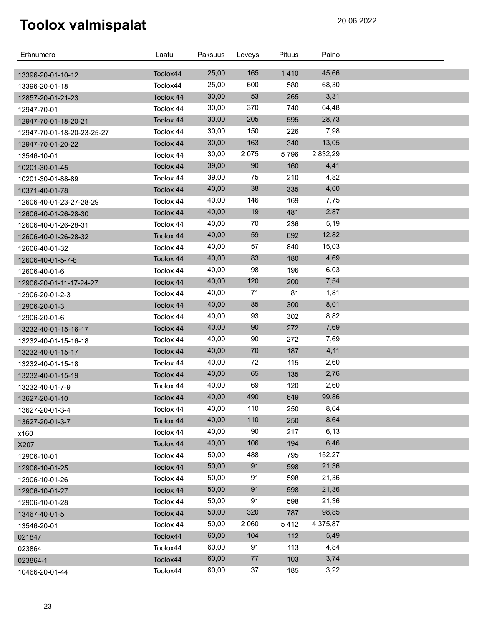| Eränumero                                          | Laatu     | Paksuus | Leveys  | Pituus | Paino    |  |
|----------------------------------------------------|-----------|---------|---------|--------|----------|--|
|                                                    | Toolox44  | 25,00   | 165     | 1410   | 45,66    |  |
| 13396-20-01-10-12                                  | Toolox44  | 25,00   | 600     | 580    | 68,30    |  |
| 13396-20-01-18<br>12857-20-01-21-23                | Toolox 44 | 30,00   | 53      | 265    | 3,31     |  |
| 12947-70-01                                        | Toolox 44 | 30,00   | 370     | 740    | 64,48    |  |
|                                                    | Toolox 44 | 30,00   | 205     | 595    | 28,73    |  |
| 12947-70-01-18-20-21<br>12947-70-01-18-20-23-25-27 | Toolox 44 | 30,00   | 150     | 226    | 7,98     |  |
|                                                    | Toolox 44 | 30,00   | 163     | 340    | 13,05    |  |
| 12947-70-01-20-22                                  | Toolox 44 | 30,00   | 2 0 7 5 | 5796   | 2 832,29 |  |
| 13546-10-01<br>10201-30-01-45                      | Toolox 44 | 39,00   | 90      | 160    | 4,41     |  |
| 10201-30-01-88-89                                  | Toolox 44 | 39,00   | 75      | 210    | 4,82     |  |
|                                                    | Toolox 44 | 40,00   | 38      | 335    | 4,00     |  |
| 10371-40-01-78                                     | Toolox 44 | 40,00   | 146     | 169    | 7,75     |  |
| 12606-40-01-23-27-28-29                            | Toolox 44 | 40,00   | 19      | 481    | 2,87     |  |
| 12606-40-01-26-28-30<br>12606-40-01-26-28-31       | Toolox 44 | 40,00   | 70      | 236    | 5,19     |  |
|                                                    | Toolox 44 | 40,00   | 59      | 692    | 12,82    |  |
| 12606-40-01-26-28-32<br>12606-40-01-32             | Toolox 44 | 40,00   | 57      | 840    | 15,03    |  |
| 12606-40-01-5-7-8                                  | Toolox 44 | 40,00   | 83      | 180    | 4,69     |  |
| 12606-40-01-6                                      | Toolox 44 | 40,00   | 98      | 196    | 6,03     |  |
| 12906-20-01-11-17-24-27                            | Toolox 44 | 40,00   | 120     | 200    | 7,54     |  |
| 12906-20-01-2-3                                    | Toolox 44 | 40,00   | 71      | 81     | 1,81     |  |
| 12906-20-01-3                                      | Toolox 44 | 40,00   | 85      | 300    | 8,01     |  |
| 12906-20-01-6                                      | Toolox 44 | 40,00   | 93      | 302    | 8,82     |  |
| 13232-40-01-15-16-17                               | Toolox 44 | 40,00   | 90      | 272    | 7,69     |  |
| 13232-40-01-15-16-18                               | Toolox 44 | 40,00   | 90      | 272    | 7,69     |  |
| 13232-40-01-15-17                                  | Toolox 44 | 40,00   | 70      | 187    | 4,11     |  |
| 13232-40-01-15-18                                  | Toolox 44 | 40,00   | 72      | 115    | 2,60     |  |
| 13232-40-01-15-19                                  | Toolox 44 | 40,00   | 65      | 135    | 2,76     |  |
| 13232-40-01-7-9                                    | Toolox 44 | 40,00   | 69      | 120    | 2,60     |  |
| 13627-20-01-10                                     | Toolox 44 | 40,00   | 490     | 649    | 99,86    |  |
| 13627-20-01-3-4                                    | Toolox 44 | 40,00   | 110     | 250    | 8,64     |  |
| 13627-20-01-3-7                                    | Toolox 44 | 40,00   | 110     | 250    | 8,64     |  |
| x160                                               | Toolox 44 | 40,00   | 90      | 217    | 6,13     |  |
| X207                                               | Toolox 44 | 40,00   | 106     | 194    | 6,46     |  |
| 12906-10-01                                        | Toolox 44 | 50,00   | 488     | 795    | 152,27   |  |
| 12906-10-01-25                                     | Toolox 44 | 50,00   | 91      | 598    | 21,36    |  |
| 12906-10-01-26                                     | Toolox 44 | 50,00   | 91      | 598    | 21,36    |  |
| 12906-10-01-27                                     | Toolox 44 | 50,00   | 91      | 598    | 21,36    |  |
| 12906-10-01-28                                     | Toolox 44 | 50,00   | 91      | 598    | 21,36    |  |
| 13467-40-01-5                                      | Toolox 44 | 50,00   | 320     | 787    | 98,85    |  |
| 13546-20-01                                        | Toolox 44 | 50,00   | 2 0 6 0 | 5412   | 4 375,87 |  |
| 021847                                             | Toolox44  | 60,00   | 104     | 112    | 5,49     |  |
| 023864                                             | Toolox44  | 60,00   | 91      | 113    | 4,84     |  |
| 023864-1                                           | Toolox44  | 60,00   | 77      | 103    | 3,74     |  |
| 10466-20-01-44                                     | Toolox44  | 60,00   | 37      | 185    | 3,22     |  |
|                                                    |           |         |         |        |          |  |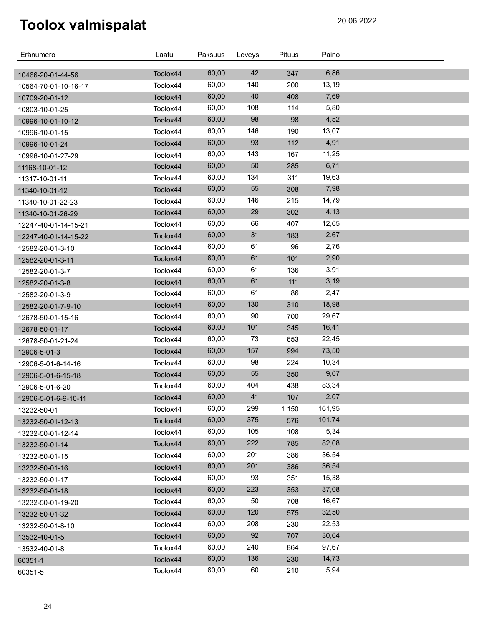| Eränumero            | Laatu    | Paksuus | Leveys | Pituus | Paino  |  |
|----------------------|----------|---------|--------|--------|--------|--|
| 10466-20-01-44-56    | Toolox44 | 60,00   | 42     | 347    | 6,86   |  |
| 10564-70-01-10-16-17 | Toolox44 | 60,00   | 140    | 200    | 13,19  |  |
| 10709-20-01-12       | Toolox44 | 60,00   | 40     | 408    | 7,69   |  |
| 10803-10-01-25       | Toolox44 | 60,00   | 108    | 114    | 5,80   |  |
| 10996-10-01-10-12    | Toolox44 | 60,00   | 98     | 98     | 4,52   |  |
| 10996-10-01-15       | Toolox44 | 60,00   | 146    | 190    | 13,07  |  |
| 10996-10-01-24       | Toolox44 | 60,00   | 93     | 112    | 4,91   |  |
| 10996-10-01-27-29    | Toolox44 | 60,00   | 143    | 167    | 11,25  |  |
| 11168-10-01-12       | Toolox44 | 60,00   | 50     | 285    | 6,71   |  |
| 11317-10-01-11       | Toolox44 | 60,00   | 134    | 311    | 19,63  |  |
| 11340-10-01-12       | Toolox44 | 60,00   | 55     | 308    | 7,98   |  |
| 11340-10-01-22-23    | Toolox44 | 60,00   | 146    | 215    | 14,79  |  |
| 11340-10-01-26-29    | Toolox44 | 60,00   | 29     | 302    | 4,13   |  |
| 12247-40-01-14-15-21 | Toolox44 | 60,00   | 66     | 407    | 12,65  |  |
| 12247-40-01-14-15-22 | Toolox44 | 60,00   | 31     | 183    | 2,67   |  |
| 12582-20-01-3-10     | Toolox44 | 60,00   | 61     | 96     | 2,76   |  |
| 12582-20-01-3-11     | Toolox44 | 60,00   | 61     | 101    | 2,90   |  |
| 12582-20-01-3-7      | Toolox44 | 60,00   | 61     | 136    | 3,91   |  |
| 12582-20-01-3-8      | Toolox44 | 60,00   | 61     | 111    | 3,19   |  |
| 12582-20-01-3-9      | Toolox44 | 60,00   | 61     | 86     | 2,47   |  |
| 12582-20-01-7-9-10   | Toolox44 | 60,00   | 130    | 310    | 18,98  |  |
| 12678-50-01-15-16    | Toolox44 | 60,00   | 90     | 700    | 29,67  |  |
| 12678-50-01-17       | Toolox44 | 60,00   | 101    | 345    | 16,41  |  |
| 12678-50-01-21-24    | Toolox44 | 60,00   | 73     | 653    | 22,45  |  |
| 12906-5-01-3         | Toolox44 | 60,00   | 157    | 994    | 73,50  |  |
| 12906-5-01-6-14-16   | Toolox44 | 60,00   | 98     | 224    | 10,34  |  |
| 12906-5-01-6-15-18   | Toolox44 | 60,00   | 55     | 350    | 9,07   |  |
| 12906-5-01-6-20      | Toolox44 | 60,00   | 404    | 438    | 83,34  |  |
| 12906-5-01-6-9-10-11 | Toolox44 | 60,00   | 41     | 107    | 2,07   |  |
| 13232-50-01          | Toolox44 | 60,00   | 299    | 1 150  | 161,95 |  |
| 13232-50-01-12-13    | Toolox44 | 60,00   | 375    | 576    | 101,74 |  |
| 13232-50-01-12-14    | Toolox44 | 60,00   | 105    | 108    | 5,34   |  |
| 13232-50-01-14       | Toolox44 | 60,00   | 222    | 785    | 82,08  |  |
| 13232-50-01-15       | Toolox44 | 60,00   | 201    | 386    | 36,54  |  |
| 13232-50-01-16       | Toolox44 | 60,00   | 201    | 386    | 36,54  |  |
| 13232-50-01-17       | Toolox44 | 60,00   | 93     | 351    | 15,38  |  |
| 13232-50-01-18       | Toolox44 | 60,00   | 223    | 353    | 37,08  |  |
| 13232-50-01-19-20    | Toolox44 | 60,00   | 50     | 708    | 16,67  |  |
| 13232-50-01-32       | Toolox44 | 60,00   | 120    | 575    | 32,50  |  |
| 13232-50-01-8-10     | Toolox44 | 60,00   | 208    | 230    | 22,53  |  |
| 13532-40-01-5        | Toolox44 | 60,00   | 92     | 707    | 30,64  |  |
| 13532-40-01-8        | Toolox44 | 60,00   | 240    | 864    | 97,67  |  |
| 60351-1              | Toolox44 | 60,00   | 136    | 230    | 14,73  |  |
| 60351-5              | Toolox44 | 60,00   | 60     | 210    | 5,94   |  |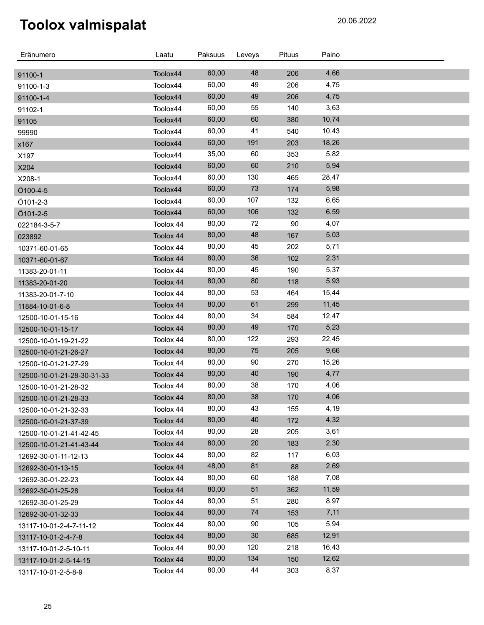| Eränumero                  | Laatu     | Paksuus | Leveys | Pituus | Paino |  |
|----------------------------|-----------|---------|--------|--------|-------|--|
| 91100-1                    | Toolox44  | 60,00   | 48     | 206    | 4,66  |  |
| 91100-1-3                  | Toolox44  | 60,00   | 49     | 206    | 4,75  |  |
| 91100-1-4                  | Toolox44  | 60,00   | 49     | 206    | 4,75  |  |
| 91102-1                    | Toolox44  | 60,00   | 55     | 140    | 3,63  |  |
| 91105                      | Toolox44  | 60,00   | 60     | 380    | 10,74 |  |
| 99990                      | Toolox44  | 60,00   | 41     | 540    | 10,43 |  |
| x167                       | Toolox44  | 60,00   | 191    | 203    | 18,26 |  |
| X197                       | Toolox44  | 35,00   | 60     | 353    | 5,82  |  |
| X204                       | Toolox44  | 60,00   | 60     | 210    | 5,94  |  |
| X208-1                     | Toolox44  | 60,00   | 130    | 465    | 28,47 |  |
| Ö100-4-5                   | Toolox44  | 60,00   | 73     | 174    | 5,98  |  |
| Ö101-2-3                   | Toolox44  | 60,00   | 107    | 132    | 6,65  |  |
| Ö101-2-5                   | Toolox44  | 60,00   | 106    | 132    | 6,59  |  |
| 022184-3-5-7               | Toolox 44 | 80,00   | 72     | 90     | 4,07  |  |
| 023892                     | Toolox 44 | 80,00   | 48     | 167    | 5,03  |  |
| 10371-60-01-65             | Toolox 44 | 80,00   | 45     | 202    | 5,71  |  |
| 10371-60-01-67             | Toolox 44 | 80,00   | 36     | 102    | 2,31  |  |
| 11383-20-01-11             | Toolox 44 | 80,00   | 45     | 190    | 5,37  |  |
| 11383-20-01-20             | Toolox 44 | 80,00   | 80     | 118    | 5,93  |  |
| 11383-20-01-7-10           | Toolox 44 | 80,00   | 53     | 464    | 15,44 |  |
| 11884-10-01-6-8            | Toolox 44 | 80,00   | 61     | 299    | 11,45 |  |
| 12500-10-01-15-16          | Toolox 44 | 80,00   | 34     | 584    | 12,47 |  |
| 12500-10-01-15-17          | Toolox 44 | 80,00   | 49     | 170    | 5,23  |  |
| 12500-10-01-19-21-22       | Toolox 44 | 80,00   | 122    | 293    | 22,45 |  |
| 12500-10-01-21-26-27       | Toolox 44 | 80,00   | 75     | 205    | 9,66  |  |
| 12500-10-01-21-27-29       | Toolox 44 | 80,00   | 90     | 270    | 15,26 |  |
| 12500-10-01-21-28-30-31-33 | Toolox 44 | 80,00   | 40     | 190    | 4,77  |  |
| 12500-10-01-21-28-32       | Toolox 44 | 80,00   | 38     | 170    | 4,06  |  |
| 12500-10-01-21-28-33       | Toolox 44 | 80,00   | 38     | 170    | 4,06  |  |
| 12500-10-01-21-32-33       | Toolox 44 | 80,00   | 43     | 155    | 4,19  |  |
| 12500-10-01-21-37-39       | Toolox 44 | 80,00   | 40     | 172    | 4,32  |  |
| 12500-10-01-21-41-42-45    | Toolox 44 | 80,00   | 28     | 205    | 3,61  |  |
| 12500-10-01-21-41-43-44    | Toolox 44 | 80,00   | 20     | 183    | 2,30  |  |
| 12692-30-01-11-12-13       | Toolox 44 | 80,00   | 82     | 117    | 6,03  |  |
| 12692-30-01-13-15          | Toolox 44 | 48,00   | 81     | 88     | 2,69  |  |
| 12692-30-01-22-23          | Toolox 44 | 80,00   | 60     | 188    | 7,08  |  |
| 12692-30-01-25-28          | Toolox 44 | 80,00   | 51     | 362    | 11,59 |  |
| 12692-30-01-25-29          | Toolox 44 | 80,00   | 51     | 280    | 8,97  |  |
| 12692-30-01-32-33          | Toolox 44 | 80,00   | 74     | 153    | 7,11  |  |
| 13117-10-01-2-4-7-11-12    | Toolox 44 | 80,00   | 90     | 105    | 5,94  |  |
| 13117-10-01-2-4-7-8        | Toolox 44 | 80,00   | 30     | 685    | 12,91 |  |
| 13117-10-01-2-5-10-11      | Toolox 44 | 80,00   | 120    | 218    | 16,43 |  |
| 13117-10-01-2-5-14-15      | Toolox 44 | 80,00   | 134    | 150    | 12,62 |  |
| 13117-10-01-2-5-8-9        | Toolox 44 | 80,00   | 44     | 303    | 8,37  |  |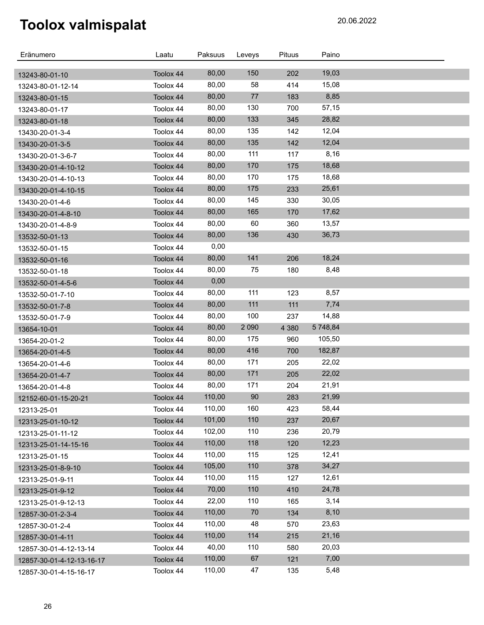| Eränumero                 | Laatu     | Paksuus        | Leveys  | Pituus     | Paino    |  |
|---------------------------|-----------|----------------|---------|------------|----------|--|
|                           |           |                | 150     |            | 19,03    |  |
| 13243-80-01-10            | Toolox 44 | 80,00<br>80,00 | 58      | 202<br>414 | 15,08    |  |
| 13243-80-01-12-14         | Toolox 44 |                | 77      |            |          |  |
| 13243-80-01-15            | Toolox 44 | 80,00          |         | 183        | 8,85     |  |
| 13243-80-01-17            | Toolox 44 | 80,00          | 130     | 700        | 57,15    |  |
| 13243-80-01-18            | Toolox 44 | 80,00          | 133     | 345        | 28,82    |  |
| 13430-20-01-3-4           | Toolox 44 | 80,00          | 135     | 142        | 12,04    |  |
| 13430-20-01-3-5           | Toolox 44 | 80,00          | 135     | 142        | 12,04    |  |
| 13430-20-01-3-6-7         | Toolox 44 | 80,00          | 111     | 117        | 8,16     |  |
| 13430-20-01-4-10-12       | Toolox 44 | 80,00          | 170     | 175        | 18,68    |  |
| 13430-20-01-4-10-13       | Toolox 44 | 80,00          | 170     | 175        | 18,68    |  |
| 13430-20-01-4-10-15       | Toolox 44 | 80,00          | 175     | 233        | 25,61    |  |
| 13430-20-01-4-6           | Toolox 44 | 80,00          | 145     | 330        | 30,05    |  |
| 13430-20-01-4-8-10        | Toolox 44 | 80,00          | 165     | 170        | 17,62    |  |
| 13430-20-01-4-8-9         | Toolox 44 | 80,00          | 60      | 360        | 13,57    |  |
| 13532-50-01-13            | Toolox 44 | 80,00          | 136     | 430        | 36,73    |  |
| 13532-50-01-15            | Toolox 44 | 0,00           |         |            |          |  |
| 13532-50-01-16            | Toolox 44 | 80,00          | 141     | 206        | 18,24    |  |
| 13532-50-01-18            | Toolox 44 | 80,00          | 75      | 180        | 8,48     |  |
| 13532-50-01-4-5-6         | Toolox 44 | 0,00           |         |            |          |  |
| 13532-50-01-7-10          | Toolox 44 | 80,00          | 111     | 123        | 8,57     |  |
| 13532-50-01-7-8           | Toolox 44 | 80,00          | 111     | 111        | 7,74     |  |
| 13532-50-01-7-9           | Toolox 44 | 80,00          | 100     | 237        | 14,88    |  |
| 13654-10-01               | Toolox 44 | 80,00          | 2 0 9 0 | 4 3 8 0    | 5 748,84 |  |
| 13654-20-01-2             | Toolox 44 | 80,00          | 175     | 960        | 105,50   |  |
| 13654-20-01-4-5           | Toolox 44 | 80,00          | 416     | 700        | 182,87   |  |
| 13654-20-01-4-6           | Toolox 44 | 80,00          | 171     | 205        | 22,02    |  |
| 13654-20-01-4-7           | Toolox 44 | 80,00          | 171     | 205        | 22,02    |  |
| 13654-20-01-4-8           | Toolox 44 | 80,00          | 171     | 204        | 21,91    |  |
| 12152-60-01-15-20-21      | Toolox 44 | 110,00         | 90      | 283        | 21,99    |  |
| 12313-25-01               | Toolox 44 | 110,00         | 160     | 423        | 58,44    |  |
| 12313-25-01-10-12         | Toolox 44 | 101,00         | 110     | 237        | 20,67    |  |
| 12313-25-01-11-12         | Toolox 44 | 102,00         | 110     | 236        | 20,79    |  |
| 12313-25-01-14-15-16      | Toolox 44 | 110,00         | 118     | 120        | 12,23    |  |
| 12313-25-01-15            | Toolox 44 | 110,00         | 115     | 125        | 12,41    |  |
| 12313-25-01-8-9-10        | Toolox 44 | 105,00         | 110     | 378        | 34,27    |  |
| 12313-25-01-9-11          | Toolox 44 | 110,00         | 115     | 127        | 12,61    |  |
| 12313-25-01-9-12          | Toolox 44 | 70,00          | 110     | 410        | 24,78    |  |
| 12313-25-01-9-12-13       | Toolox 44 | 22,00          | 110     | 165        | 3,14     |  |
| 12857-30-01-2-3-4         | Toolox 44 | 110,00         | 70      | 134        | 8,10     |  |
| 12857-30-01-2-4           | Toolox 44 | 110,00         | 48      | 570        | 23,63    |  |
| 12857-30-01-4-11          | Toolox 44 | 110,00         | 114     | 215        | 21,16    |  |
| 12857-30-01-4-12-13-14    | Toolox 44 | 40,00          | 110     | 580        | 20,03    |  |
| 12857-30-01-4-12-13-16-17 | Toolox 44 | 110,00         | 67      | 121        | 7,00     |  |
| 12857-30-01-4-15-16-17    | Toolox 44 | 110,00         | 47      | 135        | 5,48     |  |
|                           |           |                |         |            |          |  |